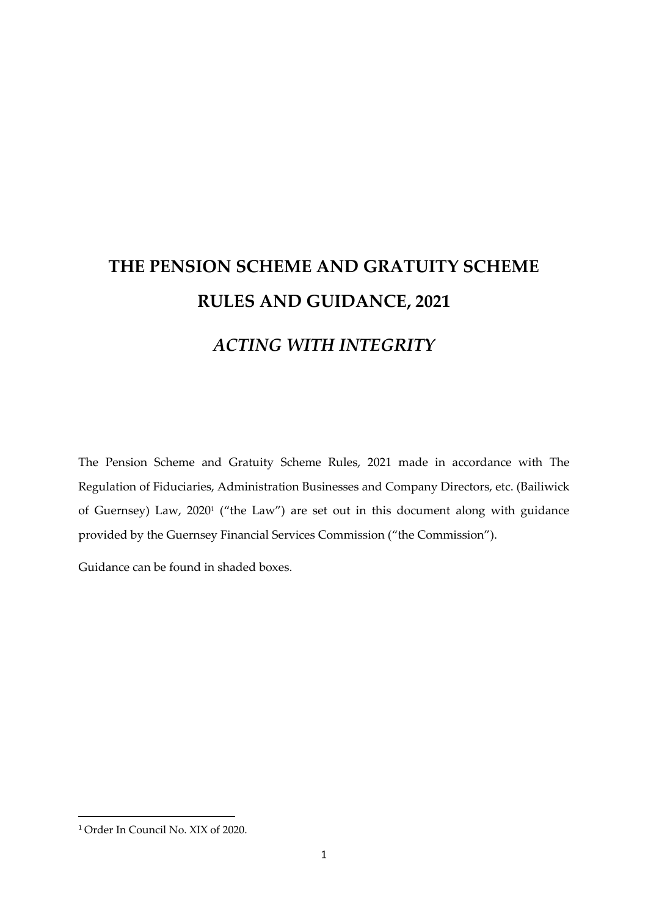# **THE PENSION SCHEME AND GRATUITY SCHEME RULES AND GUIDANCE, 2021** *ACTING WITH INTEGRITY*

The Pension Scheme and Gratuity Scheme Rules, 2021 made in accordance with The Regulation of Fiduciaries, Administration Businesses and Company Directors, etc. (Bailiwick of Guernsey) Law, 2020<sup>1</sup> ("the Law") are set out in this document along with guidance provided by the Guernsey Financial Services Commission ("the Commission").

Guidance can be found in shaded boxes.

<sup>1</sup> Order In Council No. XIX of 2020.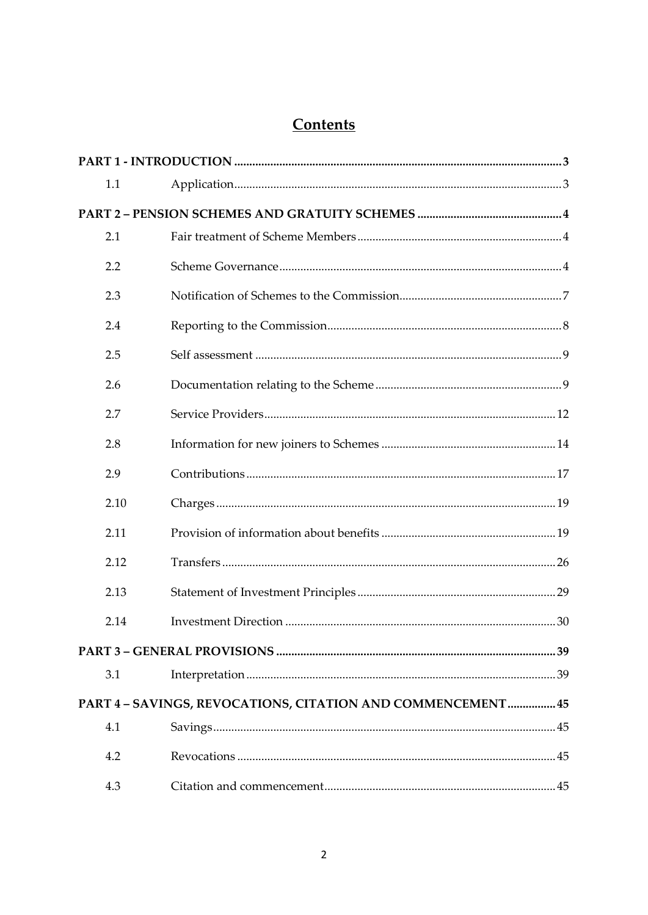## Contents

|  | 1.1  |                                                             |  |
|--|------|-------------------------------------------------------------|--|
|  |      |                                                             |  |
|  | 2.1  |                                                             |  |
|  | 2.2  |                                                             |  |
|  | 2.3  |                                                             |  |
|  | 2.4  |                                                             |  |
|  | 2.5  |                                                             |  |
|  | 2.6  |                                                             |  |
|  | 2.7  |                                                             |  |
|  | 2.8  |                                                             |  |
|  | 2.9  |                                                             |  |
|  | 2.10 |                                                             |  |
|  | 2.11 |                                                             |  |
|  | 2.12 |                                                             |  |
|  | 2.13 |                                                             |  |
|  | 2.14 |                                                             |  |
|  |      |                                                             |  |
|  | 3.1  |                                                             |  |
|  |      | PART 4 - SAVINGS, REVOCATIONS, CITATION AND COMMENCEMENT 45 |  |
|  | 4.1  |                                                             |  |
|  | 4.2  |                                                             |  |
|  | 4.3  |                                                             |  |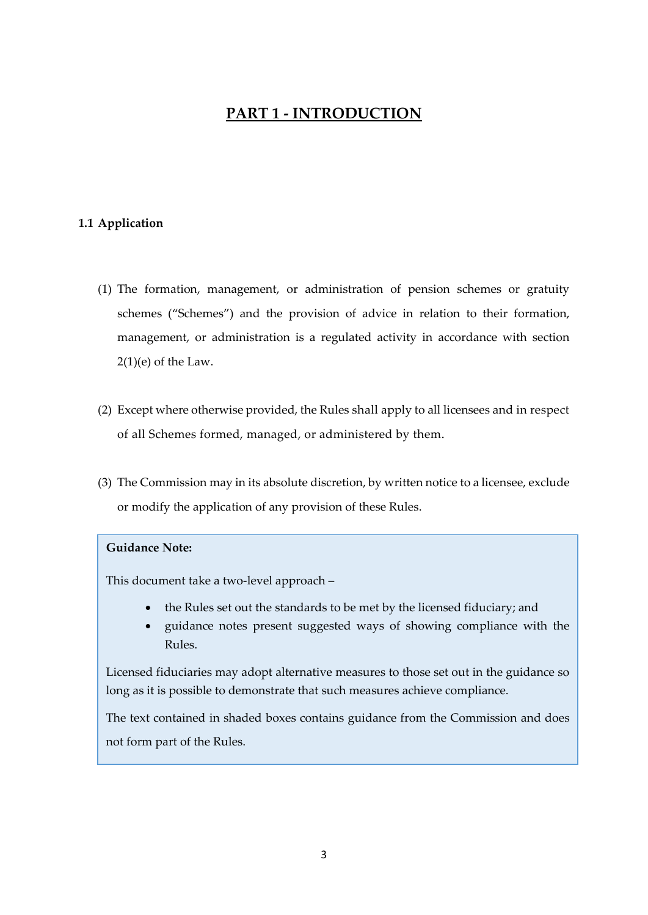## **PART 1 - INTRODUCTION**

## <span id="page-2-1"></span><span id="page-2-0"></span>**1.1 Application**

- (1) The formation, management, or administration of pension schemes or gratuity schemes ("Schemes") and the provision of advice in relation to their formation, management, or administration is a regulated activity in accordance with section  $2(1)(e)$  of the Law.
- (2) Except where otherwise provided, the Rules shall apply to all licensees and in respect of all Schemes formed, managed, or administered by them*.*
- (3) The Commission may in its absolute discretion, by written notice to a licensee, exclude or modify the application of any provision of these Rules.

## **Guidance Note:**

This document take a two-level approach –

- the Rules set out the standards to be met by the licensed fiduciary; and
- guidance notes present suggested ways of showing compliance with the Rules.

Licensed fiduciaries may adopt alternative measures to those set out in the guidance so long as it is possible to demonstrate that such measures achieve compliance.

The text contained in shaded boxes contains guidance from the Commission and does not form part of the Rules.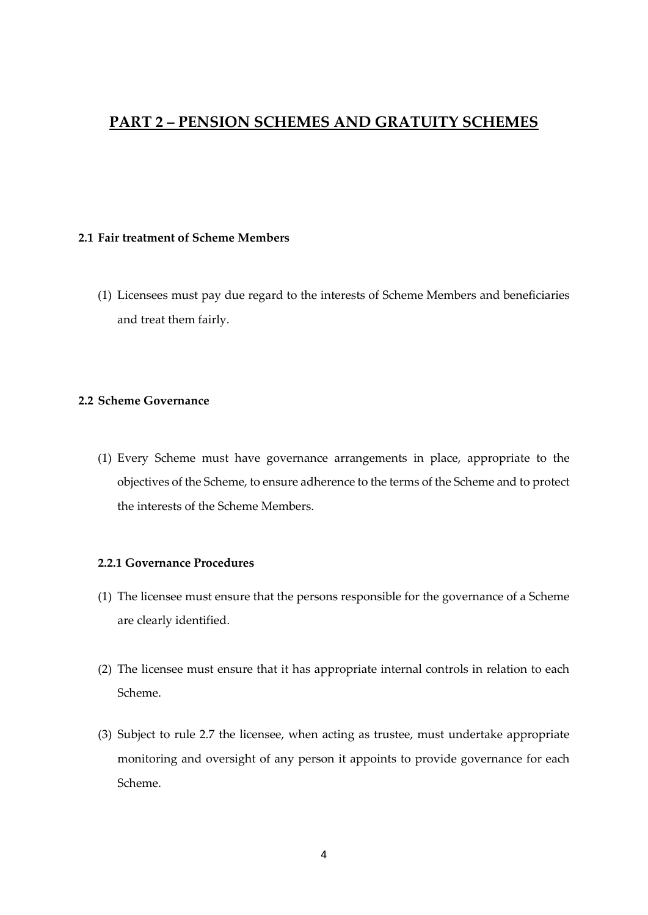## <span id="page-3-0"></span>**PART 2 – PENSION SCHEMES AND GRATUITY SCHEMES**

## <span id="page-3-1"></span>**2.1 Fair treatment of Scheme Members**

(1) Licensees must pay due regard to the interests of Scheme Members and beneficiaries and treat them fairly.

## <span id="page-3-2"></span>**2.2 Scheme Governance**

(1) Every Scheme must have governance arrangements in place, appropriate to the objectives of the Scheme, to ensure adherence to the terms of the Scheme and to protect the interests of the Scheme Members.

## **2.2.1 Governance Procedures**

- (1) The licensee must ensure that the persons responsible for the governance of a Scheme are clearly identified.
- (2) The licensee must ensure that it has appropriate internal controls in relation to each Scheme.
- (3) Subject to rule 2.7 the licensee, when acting as trustee, must undertake appropriate monitoring and oversight of any person it appoints to provide governance for each Scheme.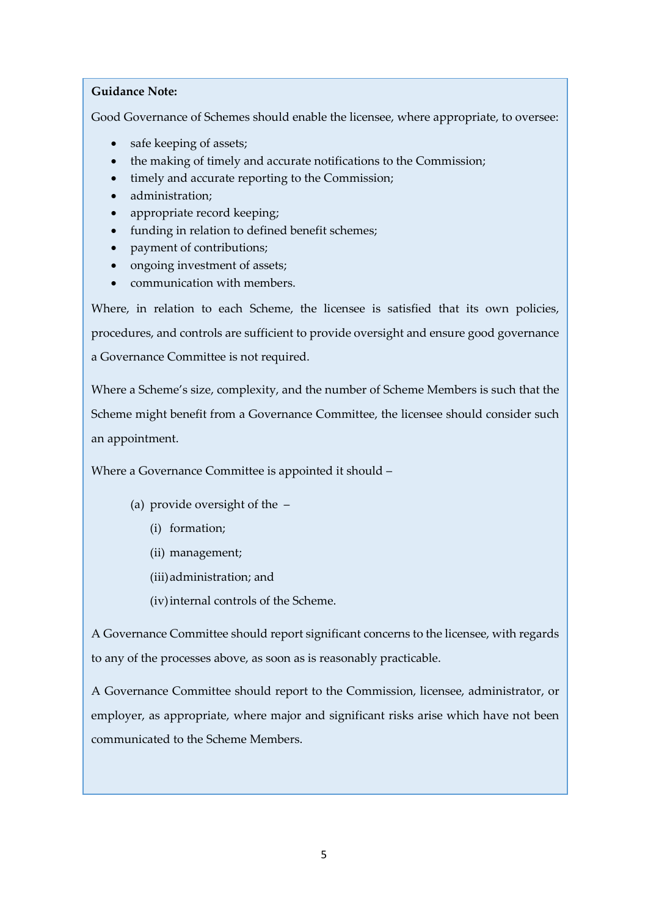Good Governance of Schemes should enable the licensee, where appropriate, to oversee:

- safe keeping of assets;
- the making of timely and accurate notifications to the Commission;
- timely and accurate reporting to the Commission;
- administration;
- appropriate record keeping;
- funding in relation to defined benefit schemes;
- payment of contributions;
- ongoing investment of assets;
- communication with members.

Where, in relation to each Scheme, the licensee is satisfied that its own policies, procedures, and controls are sufficient to provide oversight and ensure good governance a Governance Committee is not required.

Where a Scheme's size, complexity, and the number of Scheme Members is such that the Scheme might benefit from a Governance Committee, the licensee should consider such an appointment.

Where a Governance Committee is appointed it should –

- (a) provide oversight of the
	- (i) formation;
	- (ii) management;
	- (iii)administration; and
	- (iv)internal controls of the Scheme.

A Governance Committee should report significant concerns to the licensee, with regards to any of the processes above, as soon as is reasonably practicable.

A Governance Committee should report to the Commission, licensee, administrator, or employer, as appropriate, where major and significant risks arise which have not been communicated to the Scheme Members.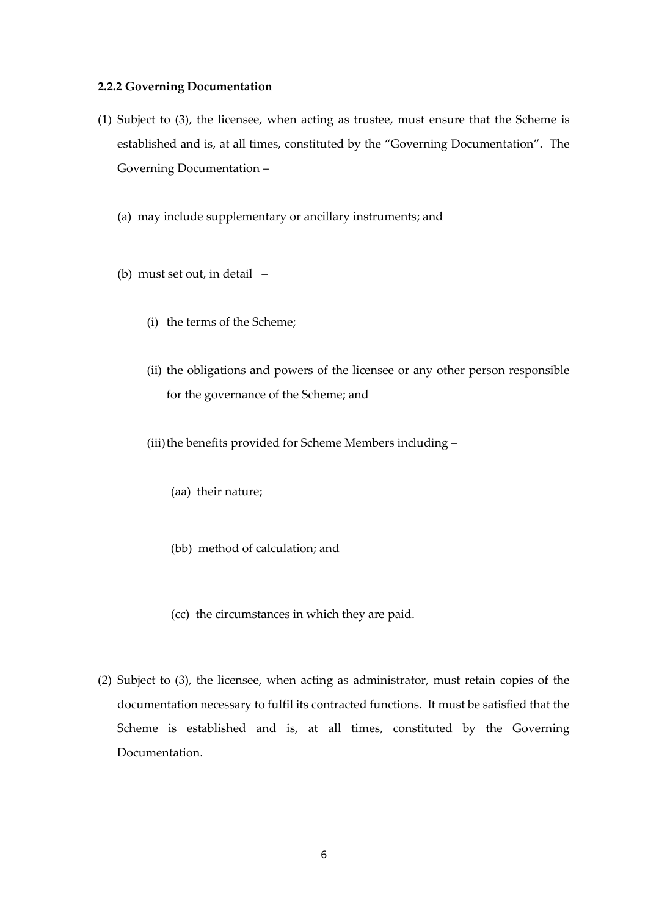#### **2.2.2 Governing Documentation**

- (1) Subject to (3), the licensee, when acting as trustee, must ensure that the Scheme is established and is, at all times, constituted by the "Governing Documentation". The Governing Documentation –
	- (a) may include supplementary or ancillary instruments; and
	- (b) must set out, in detail
		- (i) the terms of the Scheme;
		- (ii) the obligations and powers of the licensee or any other person responsible for the governance of the Scheme; and
		- (iii) the benefits provided for Scheme Members including -
			- (aa) their nature;
			- (bb) method of calculation; and
			- (cc) the circumstances in which they are paid.
- (2) Subject to (3), the licensee, when acting as administrator, must retain copies of the documentation necessary to fulfil its contracted functions. It must be satisfied that the Scheme is established and is, at all times, constituted by the Governing Documentation.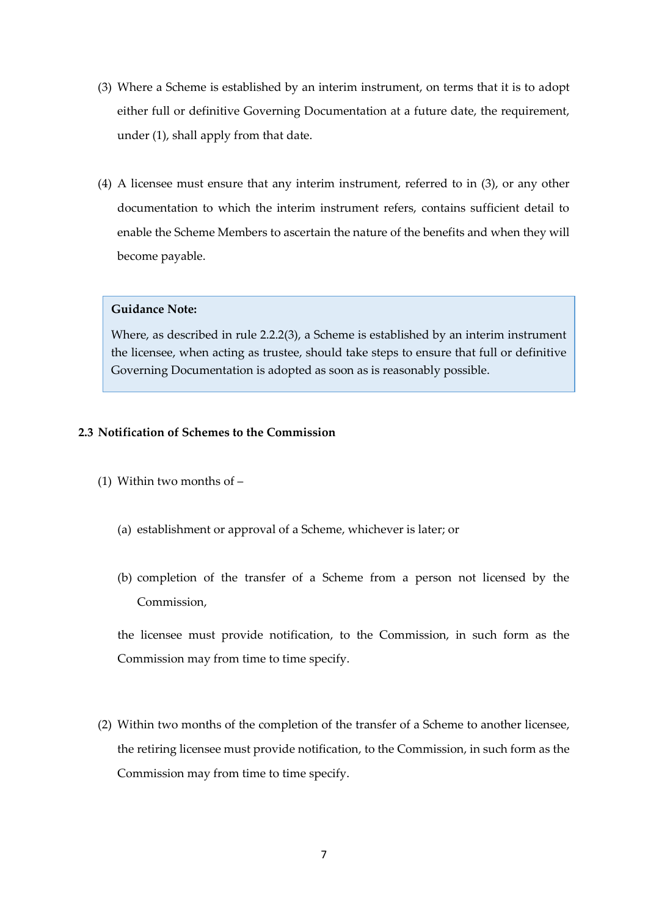- (3) Where a Scheme is established by an interim instrument, on terms that it is to adopt either full or definitive Governing Documentation at a future date, the requirement, under (1), shall apply from that date.
- (4) A licensee must ensure that any interim instrument, referred to in (3), or any other documentation to which the interim instrument refers, contains sufficient detail to enable the Scheme Members to ascertain the nature of the benefits and when they will become payable.

Where, as described in rule 2.2.2(3), a Scheme is established by an interim instrument the licensee, when acting as trustee, should take steps to ensure that full or definitive Governing Documentation is adopted as soon as is reasonably possible.

## <span id="page-6-0"></span>**2.3 Notification of Schemes to the Commission**

- (1) Within two months of
	- (a) establishment or approval of a Scheme, whichever is later; or
	- (b) completion of the transfer of a Scheme from a person not licensed by the Commission,

the licensee must provide notification, to the Commission, in such form as the Commission may from time to time specify.

(2) Within two months of the completion of the transfer of a Scheme to another licensee, the retiring licensee must provide notification, to the Commission, in such form as the Commission may from time to time specify.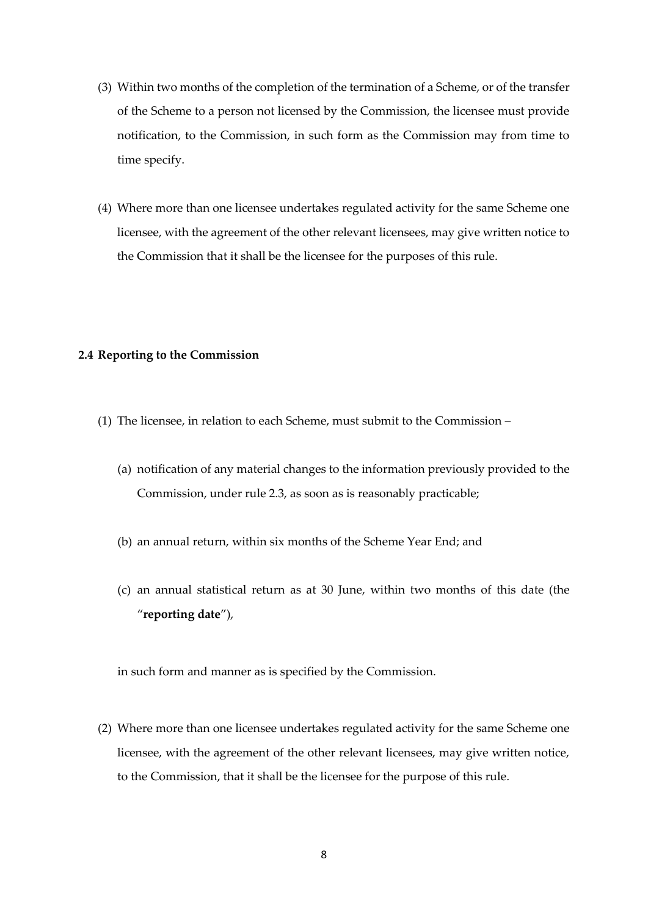- (3) Within two months of the completion of the termination of a Scheme, or of the transfer of the Scheme to a person not licensed by the Commission, the licensee must provide notification, to the Commission, in such form as the Commission may from time to time specify.
- (4) Where more than one licensee undertakes regulated activity for the same Scheme one licensee, with the agreement of the other relevant licensees, may give written notice to the Commission that it shall be the licensee for the purposes of this rule.

## <span id="page-7-0"></span>**2.4 Reporting to the Commission**

- (1) The licensee, in relation to each Scheme, must submit to the Commission
	- (a) notification of any material changes to the information previously provided to the Commission, under rule 2.3, as soon as is reasonably practicable;
	- (b) an annual return, within six months of the Scheme Year End; and
	- (c) an annual statistical return as at 30 June, within two months of this date (the "**reporting date**"),

in such form and manner as is specified by the Commission.

(2) Where more than one licensee undertakes regulated activity for the same Scheme one licensee, with the agreement of the other relevant licensees, may give written notice, to the Commission, that it shall be the licensee for the purpose of this rule.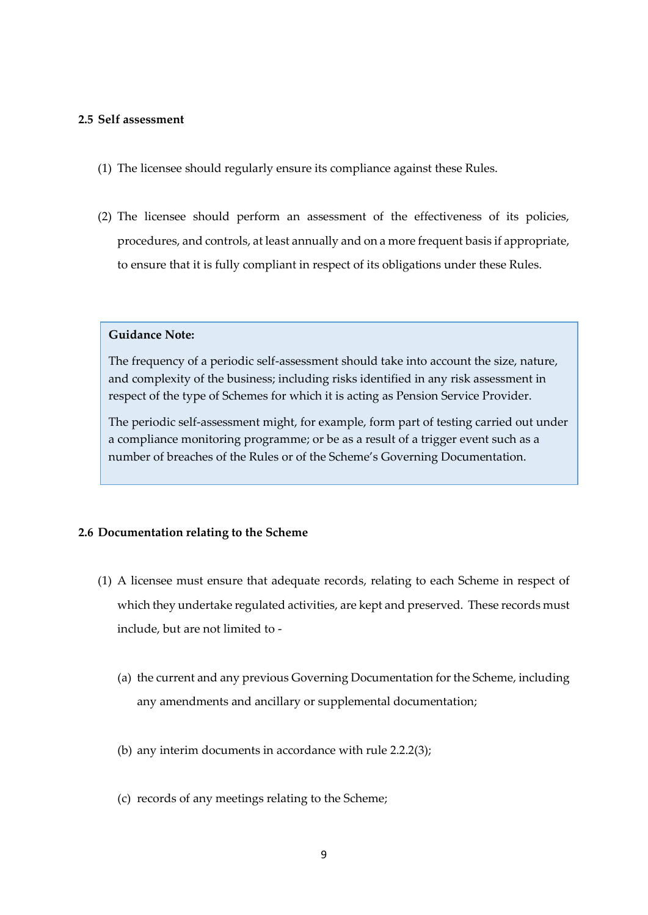## <span id="page-8-0"></span>**2.5 Self assessment**

- (1) The licensee should regularly ensure its compliance against these Rules.
- (2) The licensee should perform an assessment of the effectiveness of its policies, procedures, and controls, at least annually and on a more frequent basis if appropriate, to ensure that it is fully compliant in respect of its obligations under these Rules.

## **Guidance Note:**

The frequency of a periodic self-assessment should take into account the size, nature, and complexity of the business; including risks identified in any risk assessment in respect of the type of Schemes for which it is acting as Pension Service Provider.

The periodic self-assessment might, for example, form part of testing carried out under a compliance monitoring programme; or be as a result of a trigger event such as a number of breaches of the Rules or of the Scheme's Governing Documentation.

## <span id="page-8-1"></span>**2.6 Documentation relating to the Scheme**

- (1) A licensee must ensure that adequate records, relating to each Scheme in respect of which they undertake regulated activities, are kept and preserved. These records must include, but are not limited to -
	- (a) the current and any previous Governing Documentation for the Scheme, including any amendments and ancillary or supplemental documentation;
	- (b) any interim documents in accordance with rule 2.2.2(3);
	- (c) records of any meetings relating to the Scheme;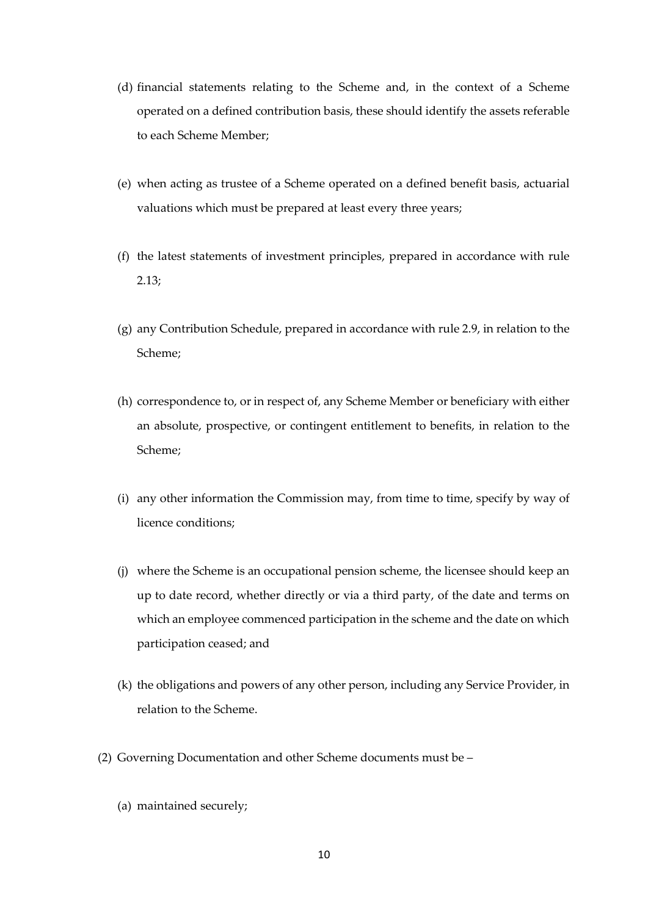- (d) financial statements relating to the Scheme and, in the context of a Scheme operated on a defined contribution basis, these should identify the assets referable to each Scheme Member;
- (e) when acting as trustee of a Scheme operated on a defined benefit basis, actuarial valuations which must be prepared at least every three years;
- (f) the latest statements of investment principles, prepared in accordance with rule 2.13;
- (g) any Contribution Schedule, prepared in accordance with rule 2.9, in relation to the Scheme;
- (h) correspondence to, or in respect of, any Scheme Member or beneficiary with either an absolute, prospective, or contingent entitlement to benefits, in relation to the Scheme;
- (i) any other information the Commission may, from time to time, specify by way of licence conditions;
- (j) where the Scheme is an occupational pension scheme, the licensee should keep an up to date record, whether directly or via a third party, of the date and terms on which an employee commenced participation in the scheme and the date on which participation ceased; and
- (k) the obligations and powers of any other person, including any Service Provider, in relation to the Scheme.
- (2) Governing Documentation and other Scheme documents must be
	- (a) maintained securely;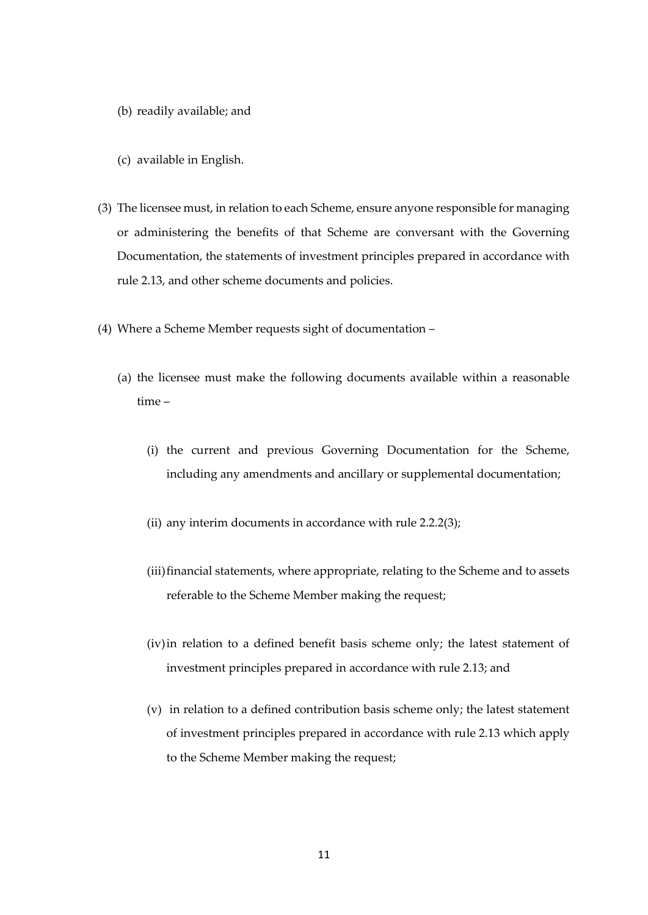- (b) readily available; and
- (c) available in English.
- (3) The licensee must, in relation to each Scheme, ensure anyone responsible for managing or administering the benefits of that Scheme are conversant with the Governing Documentation, the statements of investment principles prepared in accordance with rule 2.13, and other scheme documents and policies.
- (4) Where a Scheme Member requests sight of documentation
	- (a) the licensee must make the following documents available within a reasonable time –
		- (i) the current and previous Governing Documentation for the Scheme, including any amendments and ancillary or supplemental documentation;
		- (ii) any interim documents in accordance with rule 2.2.2(3);
		- (iii) financial statements, where appropriate, relating to the Scheme and to assets referable to the Scheme Member making the request;
		- (iv)in relation to a defined benefit basis scheme only; the latest statement of investment principles prepared in accordance with rule 2.13; and
		- (v) in relation to a defined contribution basis scheme only; the latest statement of investment principles prepared in accordance with rule 2.13 which apply to the Scheme Member making the request;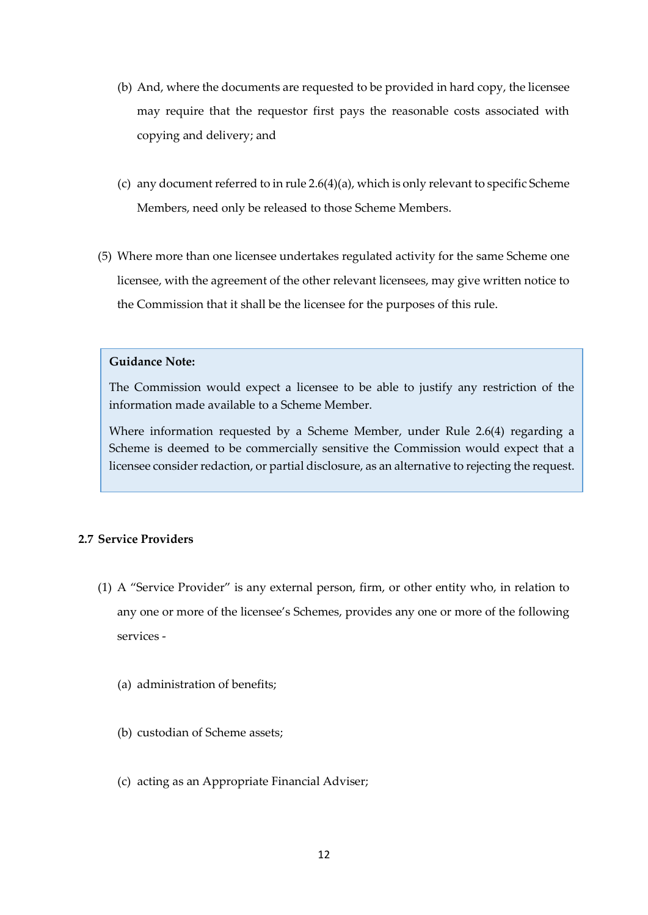- (b) And, where the documents are requested to be provided in hard copy, the licensee may require that the requestor first pays the reasonable costs associated with copying and delivery; and
- (c) any document referred to in rule 2.6(4)(a), which is only relevant to specific Scheme Members, need only be released to those Scheme Members.
- (5) Where more than one licensee undertakes regulated activity for the same Scheme one licensee, with the agreement of the other relevant licensees, may give written notice to the Commission that it shall be the licensee for the purposes of this rule.

The Commission would expect a licensee to be able to justify any restriction of the information made available to a Scheme Member.

Where information requested by a Scheme Member, under Rule 2.6(4) regarding a Scheme is deemed to be commercially sensitive the Commission would expect that a licensee consider redaction, or partial disclosure, as an alternative to rejecting the request.

## <span id="page-11-0"></span>**2.7 Service Providers**

- (1) A "Service Provider" is any external person, firm, or other entity who, in relation to any one or more of the licensee's Schemes, provides any one or more of the following services -
	- (a) administration of benefits;
	- (b) custodian of Scheme assets;
	- (c) acting as an Appropriate Financial Adviser;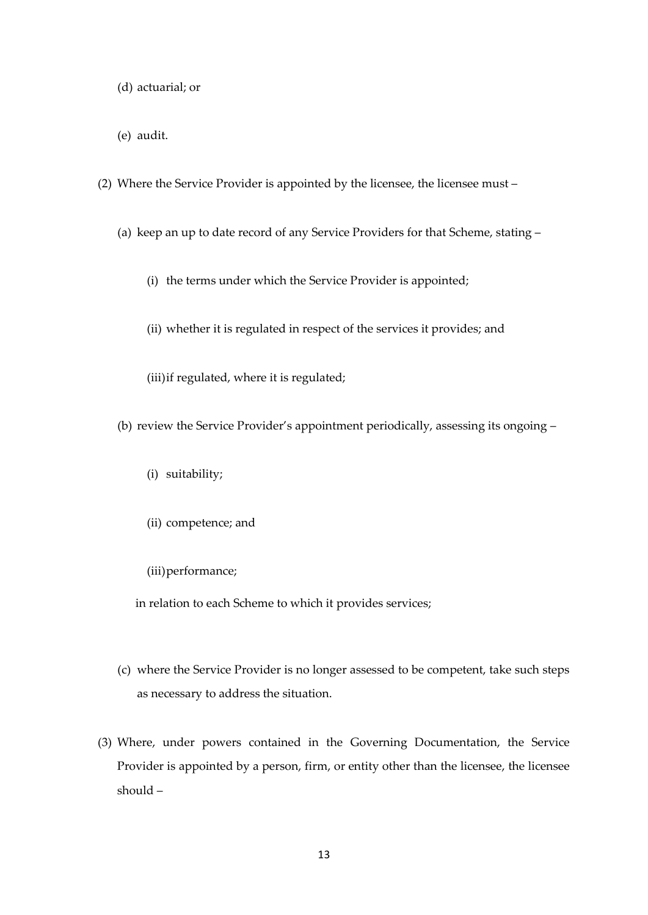- (d) actuarial; or
- (e) audit.
- (2) Where the Service Provider is appointed by the licensee, the licensee must
	- (a) keep an up to date record of any Service Providers for that Scheme, stating
		- (i) the terms under which the Service Provider is appointed;
		- (ii) whether it is regulated in respect of the services it provides; and
		- (iii)if regulated, where it is regulated;
	- (b) review the Service Provider's appointment periodically, assessing its ongoing
		- (i) suitability;
		- (ii) competence; and
		- (iii)performance;

in relation to each Scheme to which it provides services;

- (c) where the Service Provider is no longer assessed to be competent, take such steps as necessary to address the situation.
- (3) Where, under powers contained in the Governing Documentation, the Service Provider is appointed by a person, firm, or entity other than the licensee, the licensee should –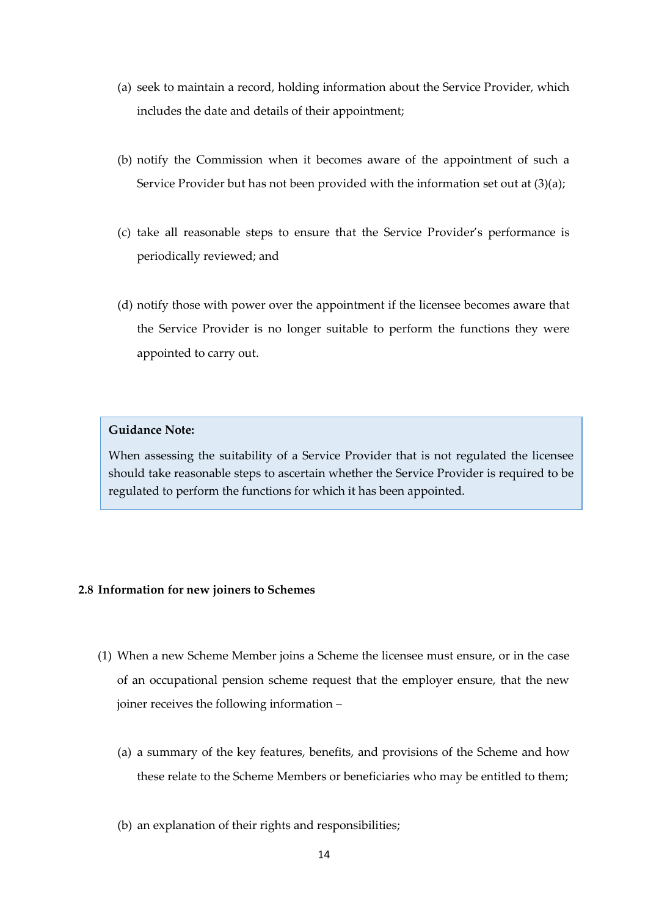- (a) seek to maintain a record, holding information about the Service Provider, which includes the date and details of their appointment;
- (b) notify the Commission when it becomes aware of the appointment of such a Service Provider but has not been provided with the information set out at (3)(a);
- (c) take all reasonable steps to ensure that the Service Provider's performance is periodically reviewed; and
- (d) notify those with power over the appointment if the licensee becomes aware that the Service Provider is no longer suitable to perform the functions they were appointed to carry out.

When assessing the suitability of a Service Provider that is not regulated the licensee should take reasonable steps to ascertain whether the Service Provider is required to be regulated to perform the functions for which it has been appointed.

## <span id="page-13-0"></span>**2.8 Information for new joiners to Schemes**

- (1) When a new Scheme Member joins a Scheme the licensee must ensure, or in the case of an occupational pension scheme request that the employer ensure, that the new joiner receives the following information –
	- (a) a summary of the key features, benefits, and provisions of the Scheme and how these relate to the Scheme Members or beneficiaries who may be entitled to them;
	- (b) an explanation of their rights and responsibilities;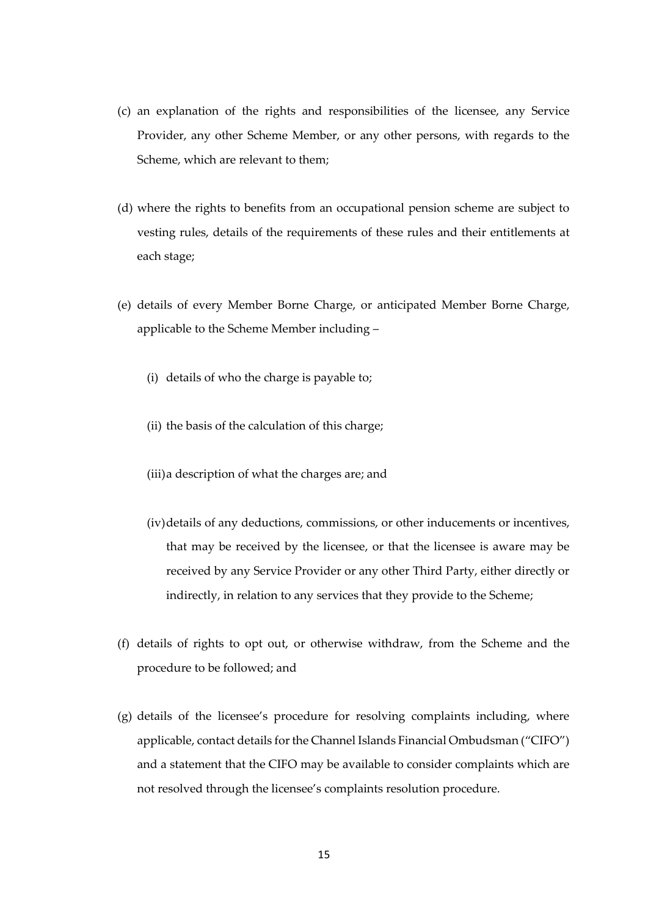- (c) an explanation of the rights and responsibilities of the licensee, any Service Provider, any other Scheme Member, or any other persons, with regards to the Scheme, which are relevant to them;
- (d) where the rights to benefits from an occupational pension scheme are subject to vesting rules, details of the requirements of these rules and their entitlements at each stage;
- (e) details of every Member Borne Charge, or anticipated Member Borne Charge, applicable to the Scheme Member including –
	- (i) details of who the charge is payable to;
	- (ii) the basis of the calculation of this charge;
	- (iii)a description of what the charges are; and
	- (iv)details of any deductions, commissions, or other inducements or incentives, that may be received by the licensee, or that the licensee is aware may be received by any Service Provider or any other Third Party, either directly or indirectly, in relation to any services that they provide to the Scheme;
- (f) details of rights to opt out, or otherwise withdraw, from the Scheme and the procedure to be followed; and
- (g) details of the licensee's procedure for resolving complaints including, where applicable, contact details for the Channel Islands Financial Ombudsman ("CIFO") and a statement that the CIFO may be available to consider complaints which are not resolved through the licensee's complaints resolution procedure.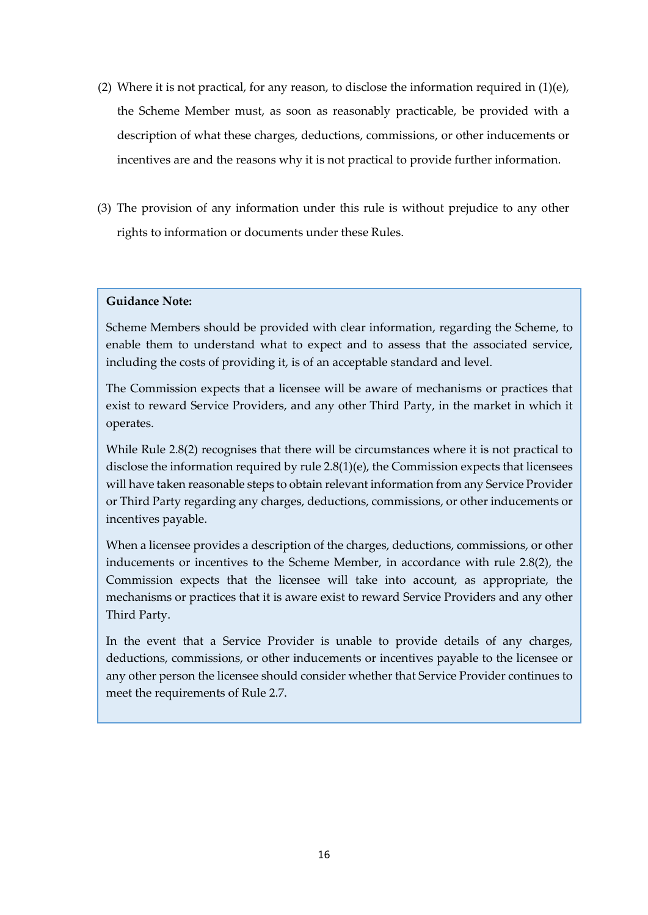- (2) Where it is not practical, for any reason, to disclose the information required in  $(1)(e)$ , the Scheme Member must, as soon as reasonably practicable, be provided with a description of what these charges, deductions, commissions, or other inducements or incentives are and the reasons why it is not practical to provide further information.
- (3) The provision of any information under this rule is without prejudice to any other rights to information or documents under these Rules.

Scheme Members should be provided with clear information, regarding the Scheme, to enable them to understand what to expect and to assess that the associated service, including the costs of providing it, is of an acceptable standard and level.

The Commission expects that a licensee will be aware of mechanisms or practices that exist to reward Service Providers, and any other Third Party, in the market in which it operates.

While Rule 2.8(2) recognises that there will be circumstances where it is not practical to disclose the information required by rule 2.8(1)(e), the Commission expects that licensees will have taken reasonable steps to obtain relevant information from any Service Provider or Third Party regarding any charges, deductions, commissions, or other inducements or incentives payable.

When a licensee provides a description of the charges, deductions, commissions, or other inducements or incentives to the Scheme Member, in accordance with rule 2.8(2), the Commission expects that the licensee will take into account, as appropriate, the mechanisms or practices that it is aware exist to reward Service Providers and any other Third Party.

In the event that a Service Provider is unable to provide details of any charges, deductions, commissions, or other inducements or incentives payable to the licensee or any other person the licensee should consider whether that Service Provider continues to meet the requirements of Rule 2.7.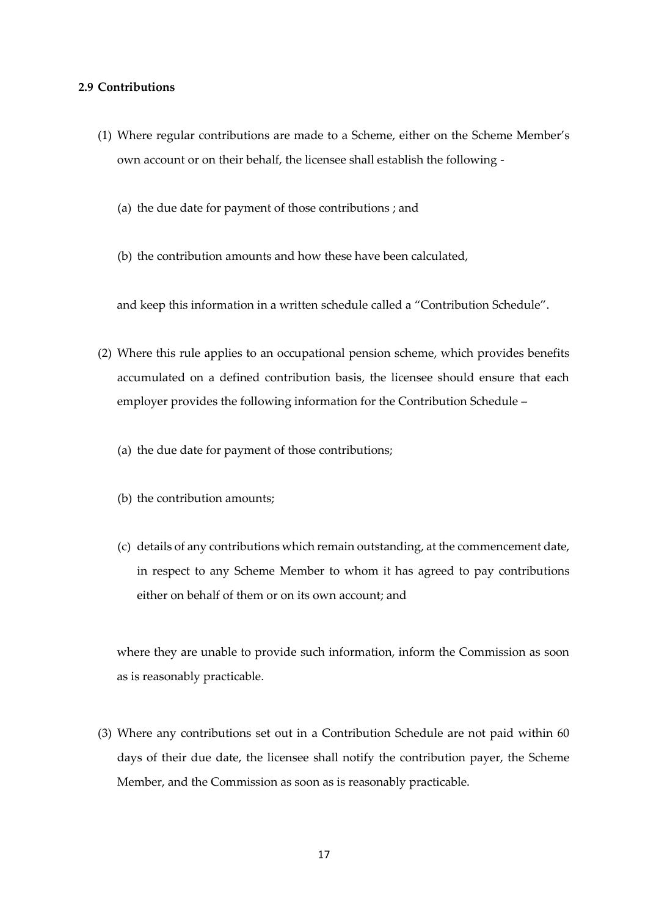## <span id="page-16-0"></span>**2.9 Contributions**

- (1) Where regular contributions are made to a Scheme, either on the Scheme Member's own account or on their behalf, the licensee shall establish the following -
	- (a) the due date for payment of those contributions ; and
	- (b) the contribution amounts and how these have been calculated,

and keep this information in a written schedule called a "Contribution Schedule".

- (2) Where this rule applies to an occupational pension scheme, which provides benefits accumulated on a defined contribution basis, the licensee should ensure that each employer provides the following information for the Contribution Schedule –
	- (a) the due date for payment of those contributions;
	- (b) the contribution amounts;
	- (c) details of any contributions which remain outstanding, at the commencement date, in respect to any Scheme Member to whom it has agreed to pay contributions either on behalf of them or on its own account; and

where they are unable to provide such information, inform the Commission as soon as is reasonably practicable.

(3) Where any contributions set out in a Contribution Schedule are not paid within 60 days of their due date, the licensee shall notify the contribution payer, the Scheme Member, and the Commission as soon as is reasonably practicable.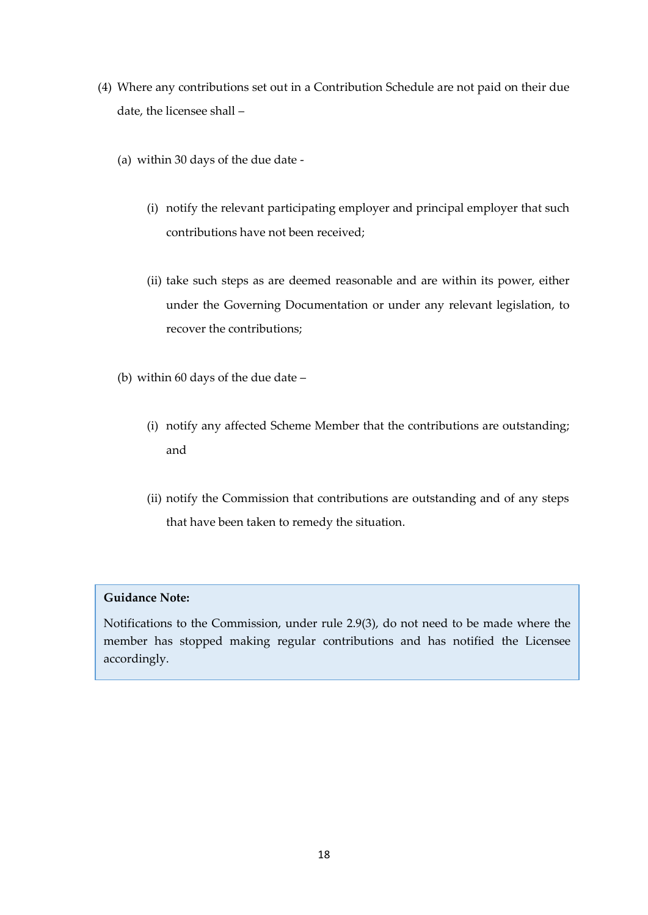- (4) Where any contributions set out in a Contribution Schedule are not paid on their due date, the licensee shall –
	- (a) within 30 days of the due date
		- (i) notify the relevant participating employer and principal employer that such contributions have not been received;
		- (ii) take such steps as are deemed reasonable and are within its power, either under the Governing Documentation or under any relevant legislation, to recover the contributions;
	- (b) within 60 days of the due date
		- (i) notify any affected Scheme Member that the contributions are outstanding; and
		- (ii) notify the Commission that contributions are outstanding and of any steps that have been taken to remedy the situation.

Notifications to the Commission, under rule 2.9(3), do not need to be made where the member has stopped making regular contributions and has notified the Licensee accordingly.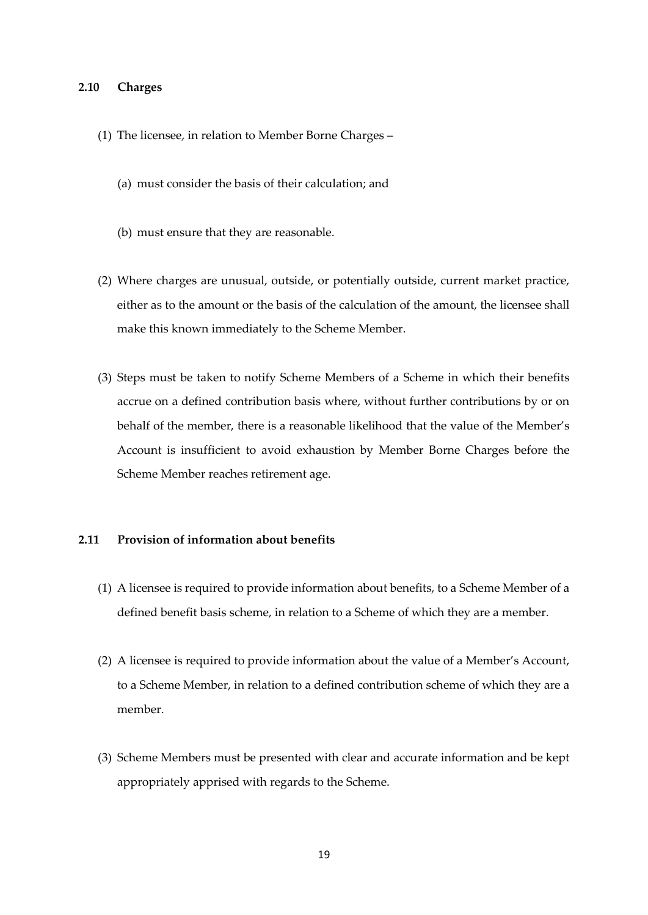## <span id="page-18-0"></span>**2.10 Charges**

- (1) The licensee, in relation to Member Borne Charges
	- (a) must consider the basis of their calculation; and
	- (b) must ensure that they are reasonable.
- (2) Where charges are unusual, outside, or potentially outside, current market practice, either as to the amount or the basis of the calculation of the amount, the licensee shall make this known immediately to the Scheme Member.
- (3) Steps must be taken to notify Scheme Members of a Scheme in which their benefits accrue on a defined contribution basis where, without further contributions by or on behalf of the member, there is a reasonable likelihood that the value of the Member's Account is insufficient to avoid exhaustion by Member Borne Charges before the Scheme Member reaches retirement age.

## <span id="page-18-1"></span>**2.11 Provision of information about benefits**

- (1) A licensee is required to provide information about benefits, to a Scheme Member of a defined benefit basis scheme, in relation to a Scheme of which they are a member.
- (2) A licensee is required to provide information about the value of a Member's Account, to a Scheme Member, in relation to a defined contribution scheme of which they are a member.
- (3) Scheme Members must be presented with clear and accurate information and be kept appropriately apprised with regards to the Scheme.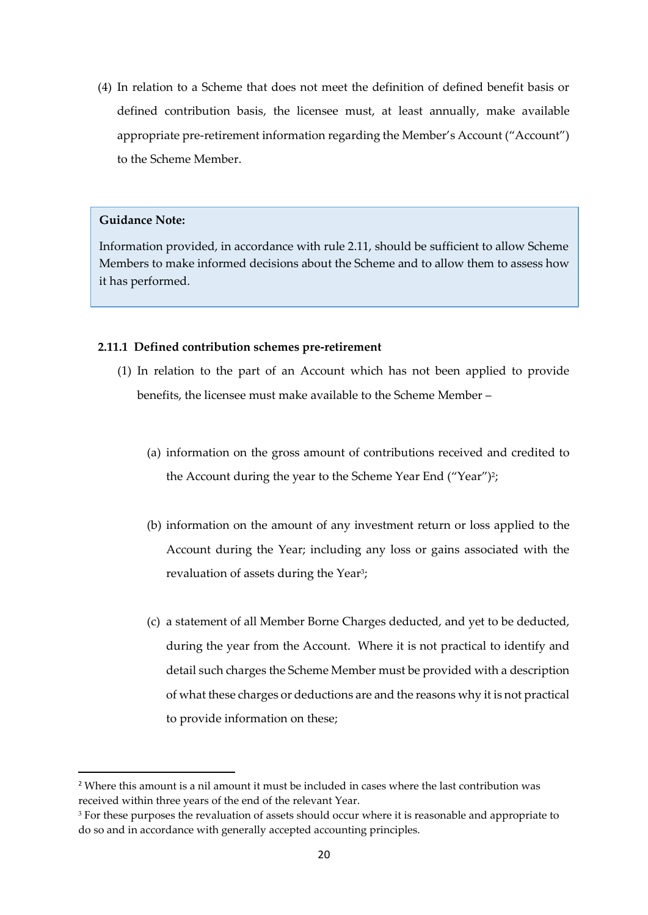(4) In relation to a Scheme that does not meet the definition of defined benefit basis or defined contribution basis, the licensee must, at least annually, make available appropriate pre-retirement information regarding the Member's Account ("Account") to the Scheme Member.

## **Guidance Note:**

Information provided, in accordance with rule 2.11, should be sufficient to allow Scheme Members to make informed decisions about the Scheme and to allow them to assess how it has performed.

## **2.11.1 Defined contribution schemes pre-retirement**

- (1) In relation to the part of an Account which has not been applied to provide benefits, the licensee must make available to the Scheme Member –
	- (a) information on the gross amount of contributions received and credited to the Account during the year to the Scheme Year End ("Year")<del>'</del>;
	- (b) information on the amount of any investment return or loss applied to the Account during the Year; including any loss or gains associated with the revaluation of assets during the Year<sup>3</sup>;
	- (c) a statement of all Member Borne Charges deducted, and yet to be deducted, during the year from the Account. Where it is not practical to identify and detail such charges the Scheme Member must be provided with a description of what these charges or deductions are and the reasons why it is not practical to provide information on these;

<sup>&</sup>lt;sup>2</sup> Where this amount is a nil amount it must be included in cases where the last contribution was received within three years of the end of the relevant Year.

<sup>&</sup>lt;sup>3</sup> For these purposes the revaluation of assets should occur where it is reasonable and appropriate to do so and in accordance with generally accepted accounting principles.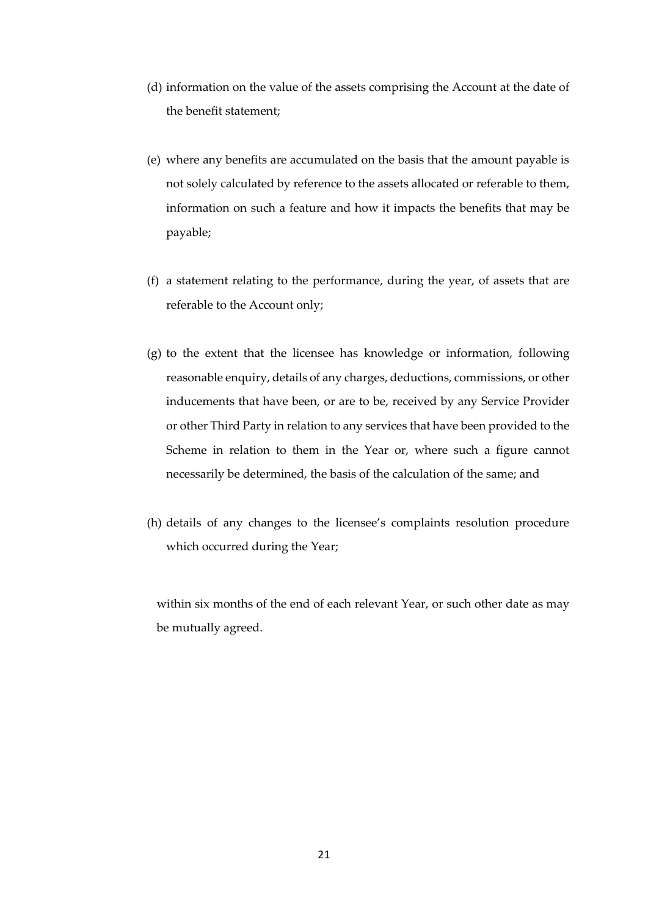- (d) information on the value of the assets comprising the Account at the date of the benefit statement;
- (e) where any benefits are accumulated on the basis that the amount payable is not solely calculated by reference to the assets allocated or referable to them, information on such a feature and how it impacts the benefits that may be payable;
- (f) a statement relating to the performance, during the year, of assets that are referable to the Account only;
- (g) to the extent that the licensee has knowledge or information, following reasonable enquiry, details of any charges, deductions, commissions, or other inducements that have been, or are to be, received by any Service Provider or other Third Party in relation to any services that have been provided to the Scheme in relation to them in the Year or, where such a figure cannot necessarily be determined, the basis of the calculation of the same; and
- (h) details of any changes to the licensee's complaints resolution procedure which occurred during the Year;

within six months of the end of each relevant Year, or such other date as may be mutually agreed.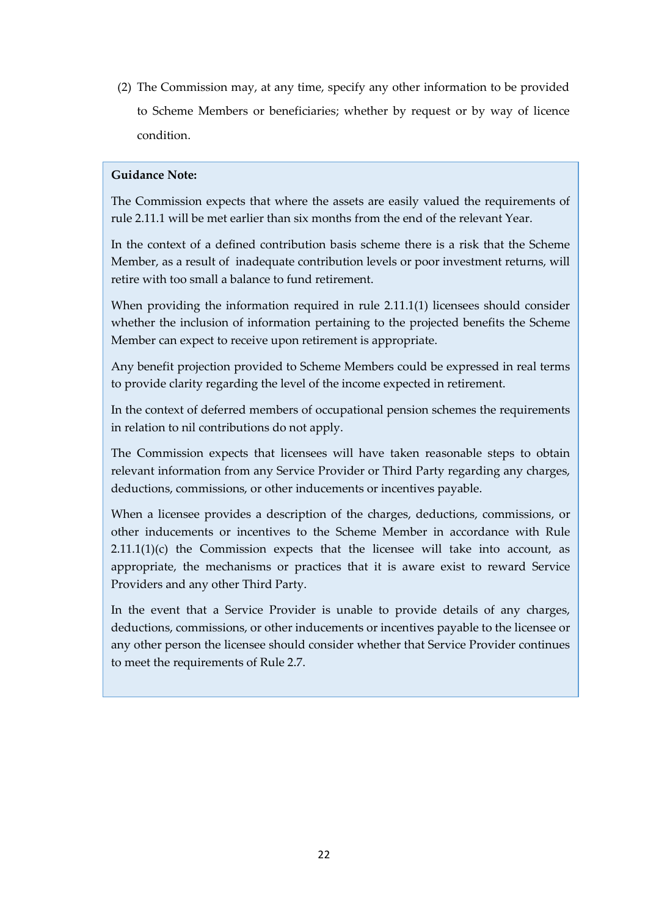(2) The Commission may, at any time, specify any other information to be provided to Scheme Members or beneficiaries; whether by request or by way of licence condition.

## **Guidance Note:**

The Commission expects that where the assets are easily valued the requirements of rule 2.11.1 will be met earlier than six months from the end of the relevant Year.

In the context of a defined contribution basis scheme there is a risk that the Scheme Member, as a result of inadequate contribution levels or poor investment returns, will retire with too small a balance to fund retirement.

When providing the information required in rule 2.11.1(1) licensees should consider whether the inclusion of information pertaining to the projected benefits the Scheme Member can expect to receive upon retirement is appropriate.

Any benefit projection provided to Scheme Members could be expressed in real terms to provide clarity regarding the level of the income expected in retirement.

In the context of deferred members of occupational pension schemes the requirements in relation to nil contributions do not apply.

The Commission expects that licensees will have taken reasonable steps to obtain relevant information from any Service Provider or Third Party regarding any charges, deductions, commissions, or other inducements or incentives payable.

When a licensee provides a description of the charges, deductions, commissions, or other inducements or incentives to the Scheme Member in accordance with Rule  $2.11.1(1)(c)$  the Commission expects that the licensee will take into account, as appropriate, the mechanisms or practices that it is aware exist to reward Service Providers and any other Third Party.

In the event that a Service Provider is unable to provide details of any charges, deductions, commissions, or other inducements or incentives payable to the licensee or any other person the licensee should consider whether that Service Provider continues to meet the requirements of Rule 2.7.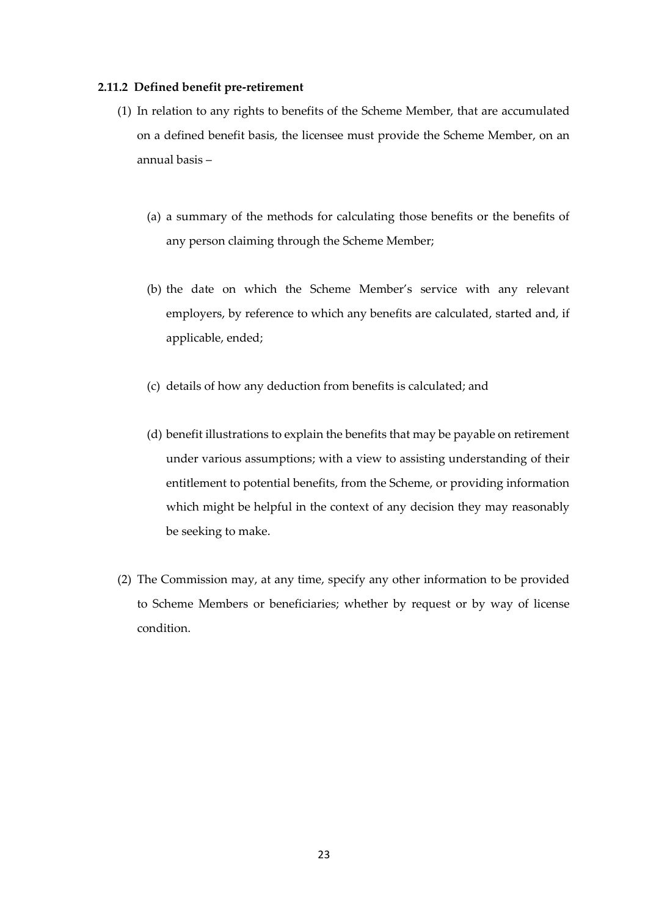#### **2.11.2 Defined benefit pre-retirement**

- (1) In relation to any rights to benefits of the Scheme Member, that are accumulated on a defined benefit basis, the licensee must provide the Scheme Member, on an annual basis –
	- (a) a summary of the methods for calculating those benefits or the benefits of any person claiming through the Scheme Member;
	- (b) the date on which the Scheme Member's service with any relevant employers, by reference to which any benefits are calculated, started and, if applicable, ended;
	- (c) details of how any deduction from benefits is calculated; and
	- (d) benefit illustrations to explain the benefits that may be payable on retirement under various assumptions; with a view to assisting understanding of their entitlement to potential benefits, from the Scheme, or providing information which might be helpful in the context of any decision they may reasonably be seeking to make.
- (2) The Commission may, at any time, specify any other information to be provided to Scheme Members or beneficiaries; whether by request or by way of license condition.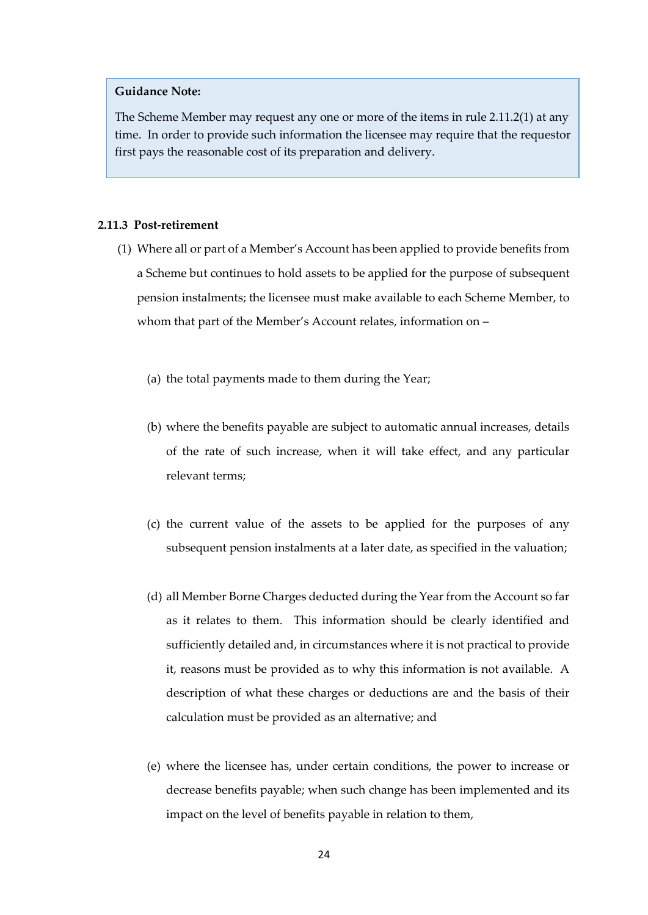The Scheme Member may request any one or more of the items in rule 2.11.2(1) at any time. In order to provide such information the licensee may require that the requestor first pays the reasonable cost of its preparation and delivery.

## **2.11.3 Post-retirement**

- (1) Where all or part of a Member's Account has been applied to provide benefits from a Scheme but continues to hold assets to be applied for the purpose of subsequent pension instalments; the licensee must make available to each Scheme Member, to whom that part of the Member's Account relates, information on –
	- (a) the total payments made to them during the Year;
	- (b) where the benefits payable are subject to automatic annual increases, details of the rate of such increase, when it will take effect, and any particular relevant terms;
	- (c) the current value of the assets to be applied for the purposes of any subsequent pension instalments at a later date, as specified in the valuation;
	- (d) all Member Borne Charges deducted during the Year from the Account so far as it relates to them. This information should be clearly identified and sufficiently detailed and, in circumstances where it is not practical to provide it, reasons must be provided as to why this information is not available. A description of what these charges or deductions are and the basis of their calculation must be provided as an alternative; and
	- (e) where the licensee has, under certain conditions, the power to increase or decrease benefits payable; when such change has been implemented and its impact on the level of benefits payable in relation to them,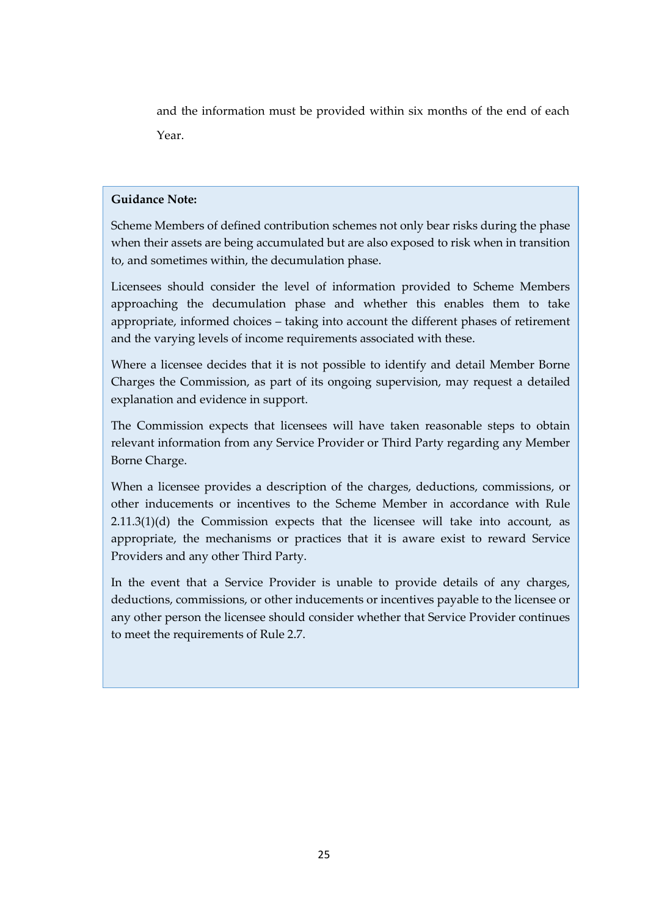and the information must be provided within six months of the end of each Year.

## **Guidance Note:**

Scheme Members of defined contribution schemes not only bear risks during the phase when their assets are being accumulated but are also exposed to risk when in transition to, and sometimes within, the decumulation phase.

Licensees should consider the level of information provided to Scheme Members approaching the decumulation phase and whether this enables them to take appropriate, informed choices – taking into account the different phases of retirement and the varying levels of income requirements associated with these.

Where a licensee decides that it is not possible to identify and detail Member Borne Charges the Commission, as part of its ongoing supervision, may request a detailed explanation and evidence in support.

The Commission expects that licensees will have taken reasonable steps to obtain relevant information from any Service Provider or Third Party regarding any Member Borne Charge.

When a licensee provides a description of the charges, deductions, commissions, or other inducements or incentives to the Scheme Member in accordance with Rule 2.11.3(1)(d) the Commission expects that the licensee will take into account, as appropriate, the mechanisms or practices that it is aware exist to reward Service Providers and any other Third Party.

In the event that a Service Provider is unable to provide details of any charges, deductions, commissions, or other inducements or incentives payable to the licensee or any other person the licensee should consider whether that Service Provider continues to meet the requirements of Rule 2.7.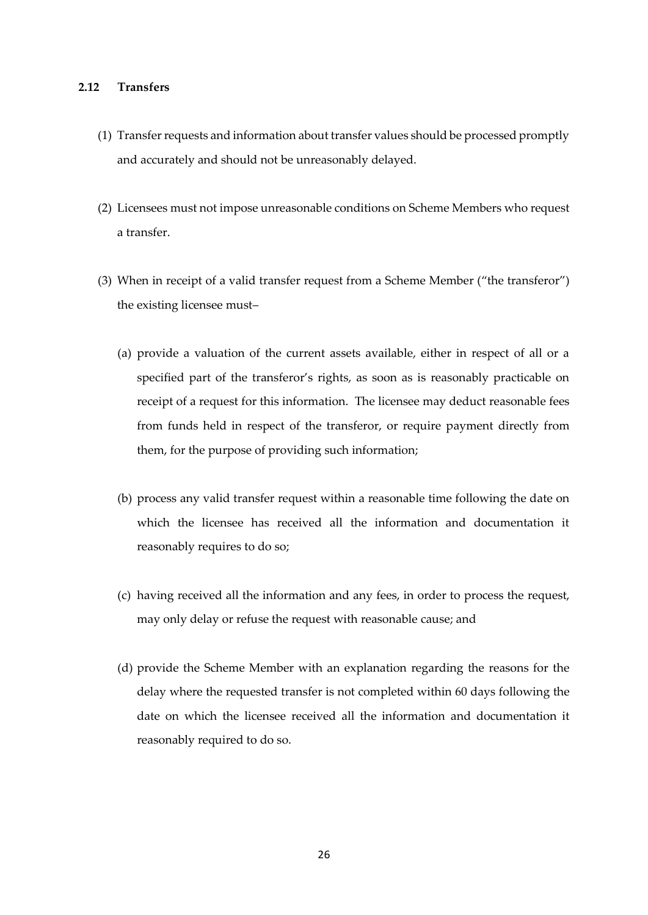## <span id="page-25-0"></span>**2.12 Transfers**

- (1) Transfer requests and information about transfer values should be processed promptly and accurately and should not be unreasonably delayed.
- (2) Licensees must not impose unreasonable conditions on Scheme Members who request a transfer.
- (3) When in receipt of a valid transfer request from a Scheme Member ("the transferor") the existing licensee must–
	- (a) provide a valuation of the current assets available, either in respect of all or a specified part of the transferor's rights, as soon as is reasonably practicable on receipt of a request for this information. The licensee may deduct reasonable fees from funds held in respect of the transferor, or require payment directly from them, for the purpose of providing such information;
	- (b) process any valid transfer request within a reasonable time following the date on which the licensee has received all the information and documentation it reasonably requires to do so;
	- (c) having received all the information and any fees, in order to process the request, may only delay or refuse the request with reasonable cause; and
	- (d) provide the Scheme Member with an explanation regarding the reasons for the delay where the requested transfer is not completed within 60 days following the date on which the licensee received all the information and documentation it reasonably required to do so.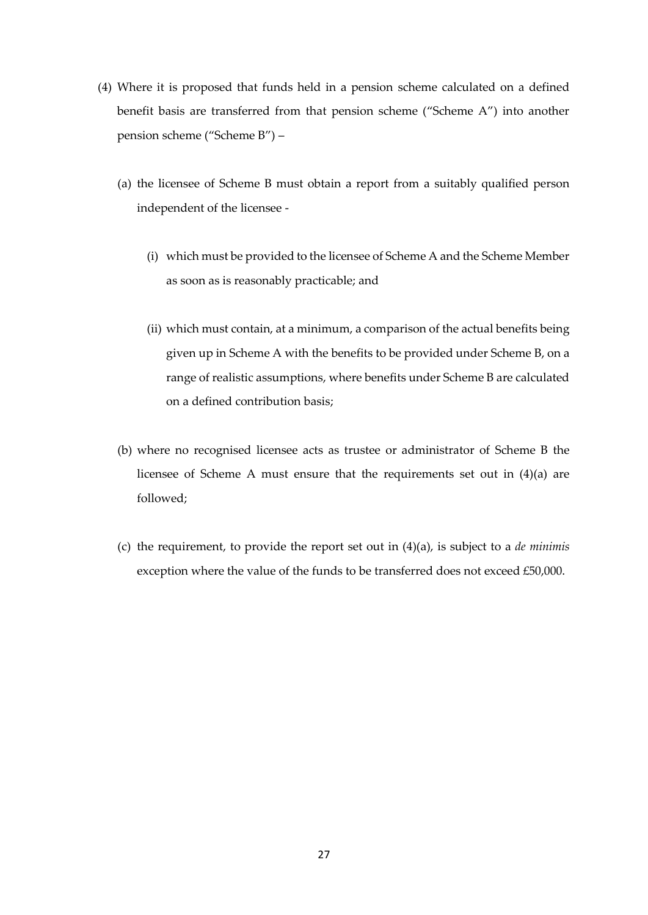- (4) Where it is proposed that funds held in a pension scheme calculated on a defined benefit basis are transferred from that pension scheme ("Scheme A") into another pension scheme ("Scheme B") –
	- (a) the licensee of Scheme B must obtain a report from a suitably qualified person independent of the licensee -
		- (i) which must be provided to the licensee of Scheme A and the Scheme Member as soon as is reasonably practicable; and
		- (ii) which must contain, at a minimum, a comparison of the actual benefits being given up in Scheme A with the benefits to be provided under Scheme B, on a range of realistic assumptions, where benefits under Scheme B are calculated on a defined contribution basis;
	- (b) where no recognised licensee acts as trustee or administrator of Scheme B the licensee of Scheme A must ensure that the requirements set out in (4)(a) are followed;
	- (c) the requirement, to provide the report set out in (4)(a), is subject to a *de minimis* exception where the value of the funds to be transferred does not exceed £50,000.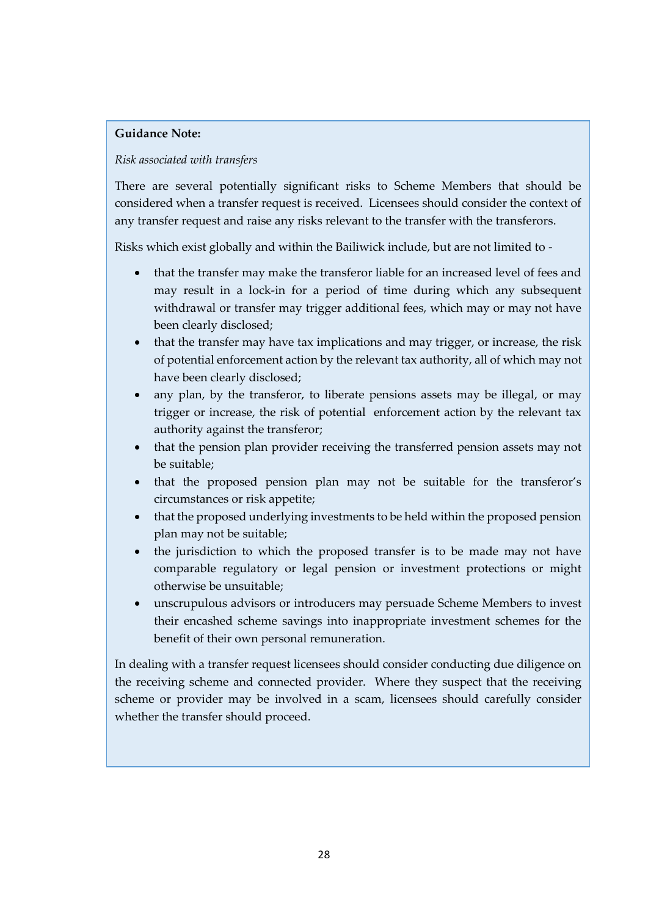## *Risk associated with transfers*

There are several potentially significant risks to Scheme Members that should be considered when a transfer request is received. Licensees should consider the context of any transfer request and raise any risks relevant to the transfer with the transferors.

Risks which exist globally and within the Bailiwick include, but are not limited to -

- that the transfer may make the transferor liable for an increased level of fees and may result in a lock-in for a period of time during which any subsequent withdrawal or transfer may trigger additional fees, which may or may not have been clearly disclosed;
- that the transfer may have tax implications and may trigger, or increase, the risk of potential enforcement action by the relevant tax authority, all of which may not have been clearly disclosed;
- any plan, by the transferor, to liberate pensions assets may be illegal, or may trigger or increase, the risk of potential enforcement action by the relevant tax authority against the transferor;
- that the pension plan provider receiving the transferred pension assets may not be suitable;
- that the proposed pension plan may not be suitable for the transferor's circumstances or risk appetite;
- that the proposed underlying investments to be held within the proposed pension plan may not be suitable;
- the jurisdiction to which the proposed transfer is to be made may not have comparable regulatory or legal pension or investment protections or might otherwise be unsuitable;
- unscrupulous advisors or introducers may persuade Scheme Members to invest their encashed scheme savings into inappropriate investment schemes for the benefit of their own personal remuneration.

In dealing with a transfer request licensees should consider conducting due diligence on the receiving scheme and connected provider. Where they suspect that the receiving scheme or provider may be involved in a scam, licensees should carefully consider whether the transfer should proceed.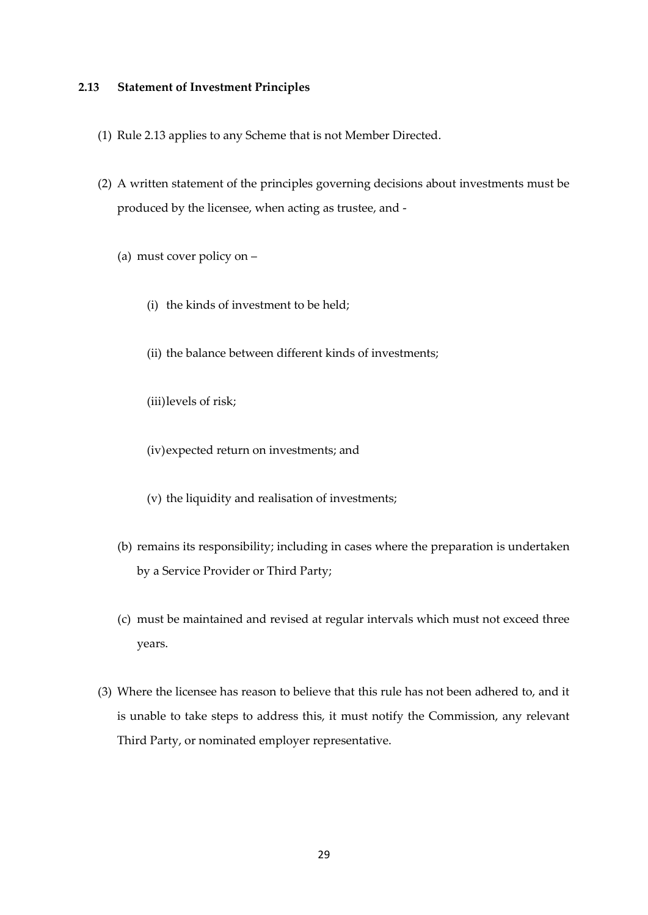## <span id="page-28-0"></span>**2.13 Statement of Investment Principles**

- (1) Rule 2.13 applies to any Scheme that is not Member Directed.
- (2) A written statement of the principles governing decisions about investments must be produced by the licensee, when acting as trustee, and -
	- (a) must cover policy on
		- (i) the kinds of investment to be held;
		- (ii) the balance between different kinds of investments;
		- (iii)levels of risk;
		- (iv)expected return on investments; and
		- (v) the liquidity and realisation of investments;
	- (b) remains its responsibility; including in cases where the preparation is undertaken by a Service Provider or Third Party;
	- (c) must be maintained and revised at regular intervals which must not exceed three years.
- (3) Where the licensee has reason to believe that this rule has not been adhered to, and it is unable to take steps to address this, it must notify the Commission, any relevant Third Party, or nominated employer representative.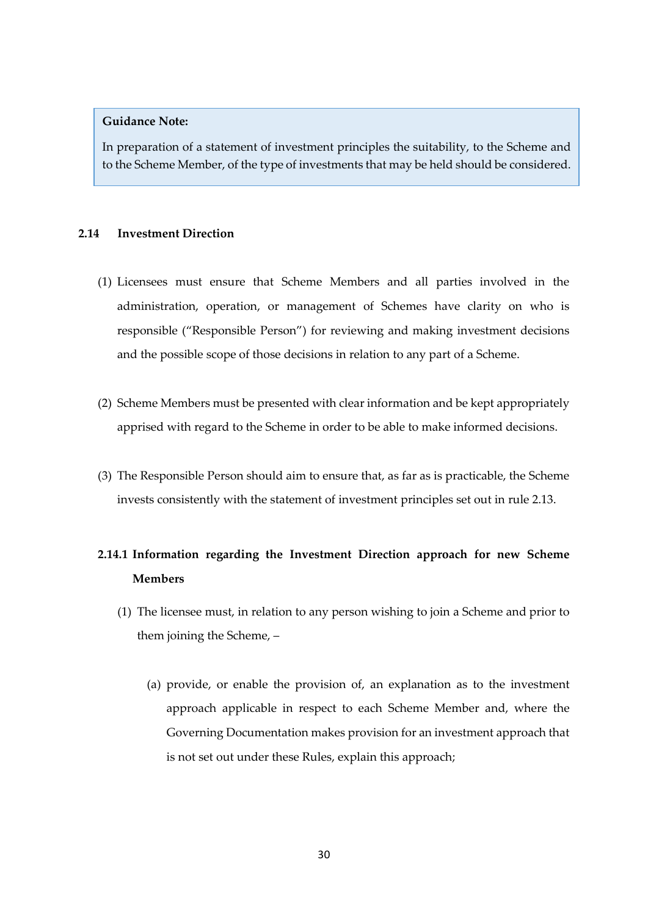In preparation of a statement of investment principles the suitability, to the Scheme and to the Scheme Member, of the type of investments that may be held should be considered.

## <span id="page-29-0"></span>**2.14 Investment Direction**

- (1) Licensees must ensure that Scheme Members and all parties involved in the administration, operation, or management of Schemes have clarity on who is responsible ("Responsible Person") for reviewing and making investment decisions and the possible scope of those decisions in relation to any part of a Scheme.
- (2) Scheme Members must be presented with clear information and be kept appropriately apprised with regard to the Scheme in order to be able to make informed decisions.
- (3) The Responsible Person should aim to ensure that, as far as is practicable, the Scheme invests consistently with the statement of investment principles set out in rule 2.13.

## **2.14.1 Information regarding the Investment Direction approach for new Scheme Members**

- (1) The licensee must, in relation to any person wishing to join a Scheme and prior to them joining the Scheme, –
	- (a) provide, or enable the provision of, an explanation as to the investment approach applicable in respect to each Scheme Member and, where the Governing Documentation makes provision for an investment approach that is not set out under these Rules, explain this approach;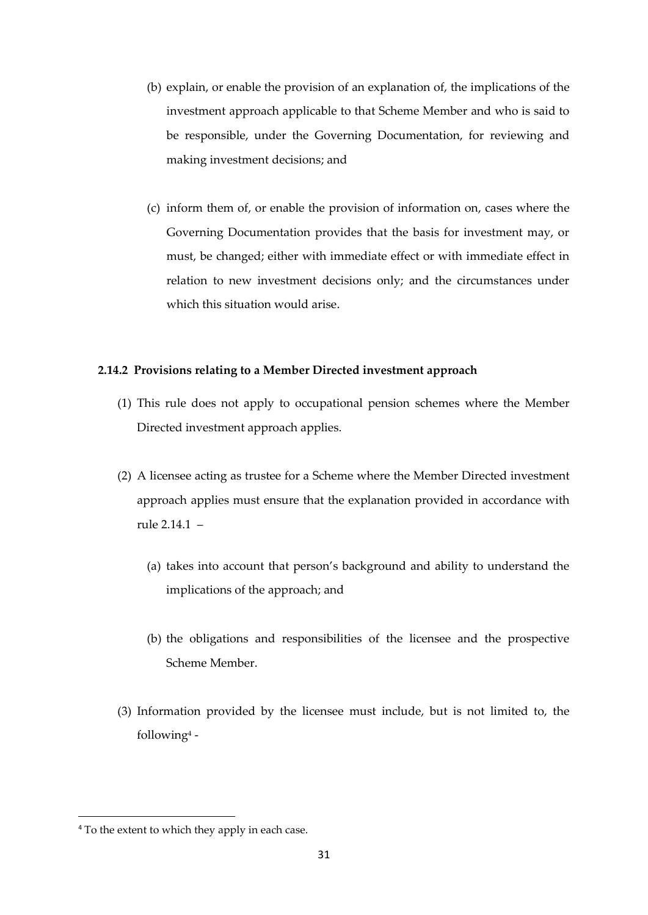- (b) explain, or enable the provision of an explanation of, the implications of the investment approach applicable to that Scheme Member and who is said to be responsible, under the Governing Documentation, for reviewing and making investment decisions; and
- (c) inform them of, or enable the provision of information on, cases where the Governing Documentation provides that the basis for investment may, or must, be changed; either with immediate effect or with immediate effect in relation to new investment decisions only; and the circumstances under which this situation would arise.

## **2.14.2 Provisions relating to a Member Directed investment approach**

- (1) This rule does not apply to occupational pension schemes where the Member Directed investment approach applies.
- (2) A licensee acting as trustee for a Scheme where the Member Directed investment approach applies must ensure that the explanation provided in accordance with rule 2.14.1 –
	- (a) takes into account that person's background and ability to understand the implications of the approach; and
	- (b) the obligations and responsibilities of the licensee and the prospective Scheme Member.
- (3) Information provided by the licensee must include, but is not limited to, the following<sup>4</sup> -

<sup>&</sup>lt;sup>4</sup> To the extent to which they apply in each case.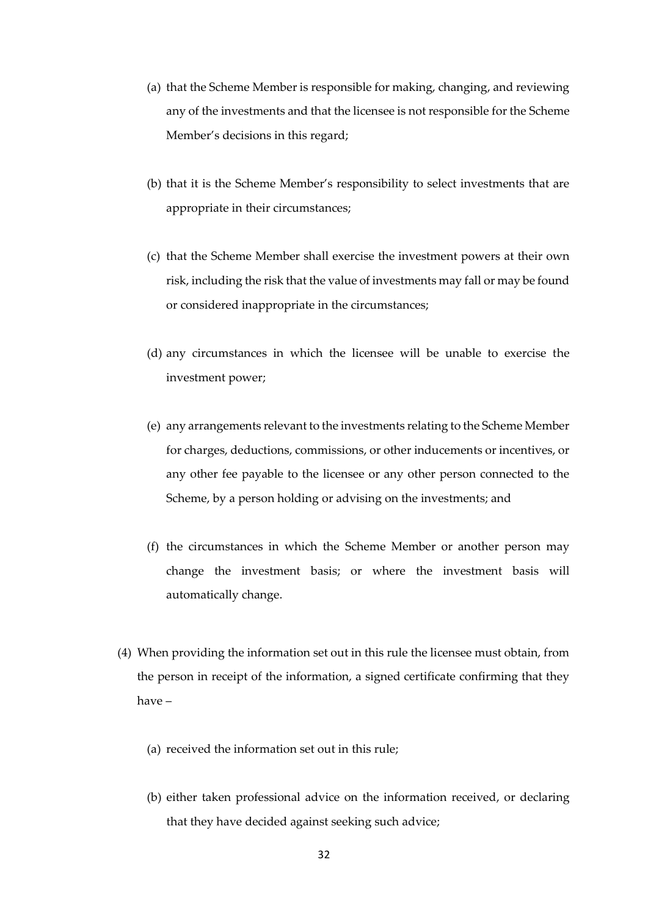- (a) that the Scheme Member is responsible for making, changing, and reviewing any of the investments and that the licensee is not responsible for the Scheme Member's decisions in this regard;
- (b) that it is the Scheme Member's responsibility to select investments that are appropriate in their circumstances;
- (c) that the Scheme Member shall exercise the investment powers at their own risk, including the risk that the value of investments may fall or may be found or considered inappropriate in the circumstances;
- (d) any circumstances in which the licensee will be unable to exercise the investment power;
- (e) any arrangements relevant to the investments relating to the Scheme Member for charges, deductions, commissions, or other inducements or incentives, or any other fee payable to the licensee or any other person connected to the Scheme, by a person holding or advising on the investments; and
- (f) the circumstances in which the Scheme Member or another person may change the investment basis; or where the investment basis will automatically change.
- (4) When providing the information set out in this rule the licensee must obtain, from the person in receipt of the information, a signed certificate confirming that they have –
	- (a) received the information set out in this rule;
	- (b) either taken professional advice on the information received, or declaring that they have decided against seeking such advice;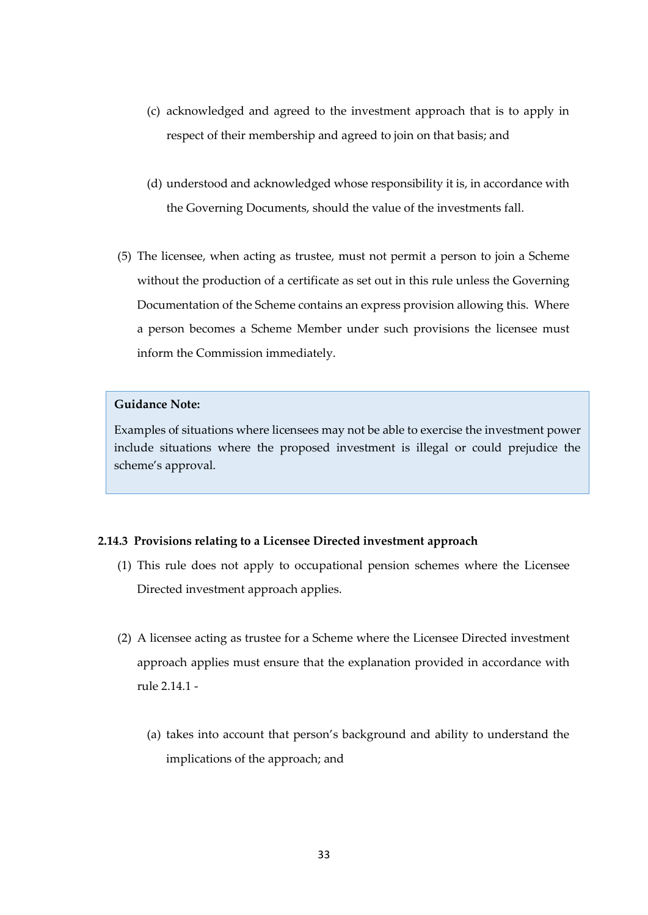- (c) acknowledged and agreed to the investment approach that is to apply in respect of their membership and agreed to join on that basis; and
- (d) understood and acknowledged whose responsibility it is, in accordance with the Governing Documents, should the value of the investments fall.
- (5) The licensee, when acting as trustee, must not permit a person to join a Scheme without the production of a certificate as set out in this rule unless the Governing Documentation of the Scheme contains an express provision allowing this. Where a person becomes a Scheme Member under such provisions the licensee must inform the Commission immediately.

Examples of situations where licensees may not be able to exercise the investment power include situations where the proposed investment is illegal or could prejudice the scheme's approval.

## **2.14.3 Provisions relating to a Licensee Directed investment approach**

- (1) This rule does not apply to occupational pension schemes where the Licensee Directed investment approach applies.
- (2) A licensee acting as trustee for a Scheme where the Licensee Directed investment approach applies must ensure that the explanation provided in accordance with rule 2.14.1 -
	- (a) takes into account that person's background and ability to understand the implications of the approach; and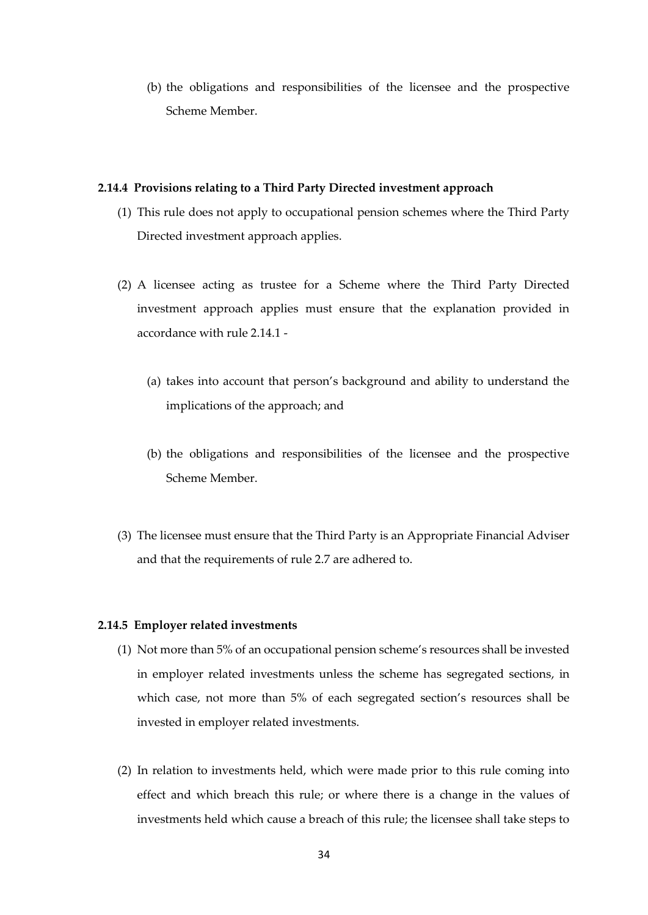(b) the obligations and responsibilities of the licensee and the prospective Scheme Member.

## **2.14.4 Provisions relating to a Third Party Directed investment approach**

- (1) This rule does not apply to occupational pension schemes where the Third Party Directed investment approach applies.
- (2) A licensee acting as trustee for a Scheme where the Third Party Directed investment approach applies must ensure that the explanation provided in accordance with rule 2.14.1 -
	- (a) takes into account that person's background and ability to understand the implications of the approach; and
	- (b) the obligations and responsibilities of the licensee and the prospective Scheme Member.
- (3) The licensee must ensure that the Third Party is an Appropriate Financial Adviser and that the requirements of rule 2.7 are adhered to.

#### **2.14.5 Employer related investments**

- (1) Not more than 5% of an occupational pension scheme's resources shall be invested in employer related investments unless the scheme has segregated sections, in which case, not more than 5% of each segregated section's resources shall be invested in employer related investments.
- (2) In relation to investments held, which were made prior to this rule coming into effect and which breach this rule; or where there is a change in the values of investments held which cause a breach of this rule; the licensee shall take steps to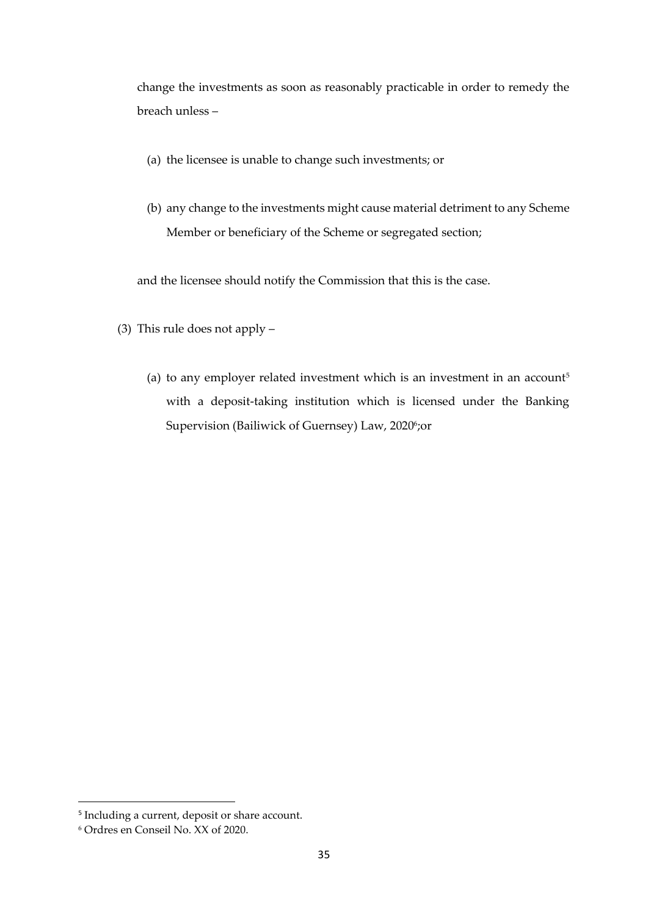change the investments as soon as reasonably practicable in order to remedy the breach unless –

- (a) the licensee is unable to change such investments; or
- (b) any change to the investments might cause material detriment to any Scheme Member or beneficiary of the Scheme or segregated section;

and the licensee should notify the Commission that this is the case.

- (3) This rule does not apply
	- (a) to any employer related investment which is an investment in an account<sup>5</sup> with a deposit-taking institution which is licensed under the Banking Supervision (Bailiwick of Guernsey) Law, 20206;or

<sup>&</sup>lt;sup>5</sup> Including a current, deposit or share account.

<sup>6</sup> Ordres en Conseil No. XX of 2020.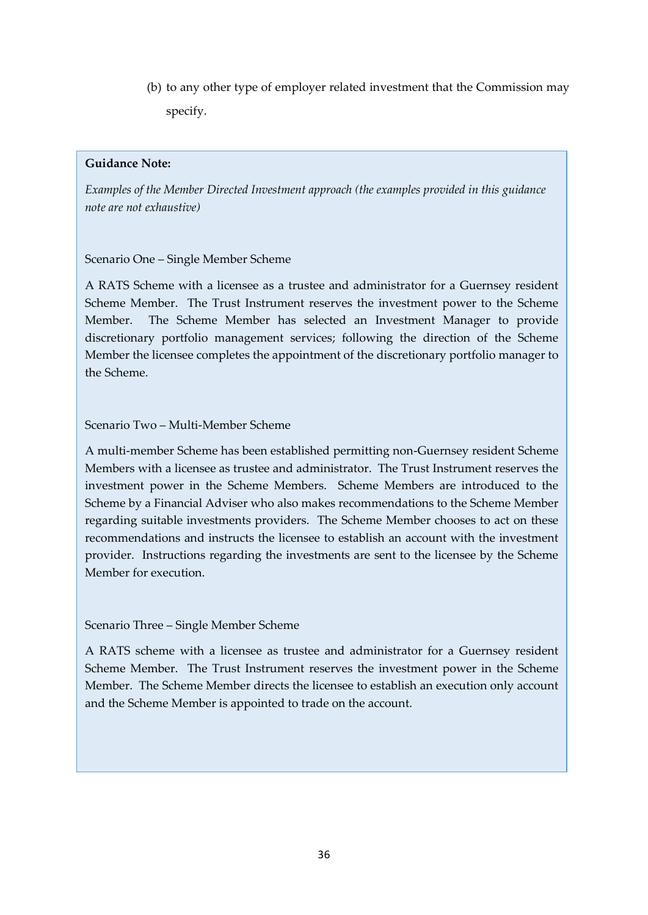(b) to any other type of employer related investment that the Commission may specify.

## **Guidance Note:**

*Examples of the Member Directed Investment approach (the examples provided in this guidance note are not exhaustive)*

## Scenario One – Single Member Scheme

A RATS Scheme with a licensee as a trustee and administrator for a Guernsey resident Scheme Member. The Trust Instrument reserves the investment power to the Scheme Member. The Scheme Member has selected an Investment Manager to provide discretionary portfolio management services; following the direction of the Scheme Member the licensee completes the appointment of the discretionary portfolio manager to the Scheme.

## Scenario Two – Multi-Member Scheme

A multi-member Scheme has been established permitting non-Guernsey resident Scheme Members with a licensee as trustee and administrator. The Trust Instrument reserves the investment power in the Scheme Members. Scheme Members are introduced to the Scheme by a Financial Adviser who also makes recommendations to the Scheme Member regarding suitable investments providers. The Scheme Member chooses to act on these recommendations and instructs the licensee to establish an account with the investment provider. Instructions regarding the investments are sent to the licensee by the Scheme Member for execution.

## Scenario Three – Single Member Scheme

A RATS scheme with a licensee as trustee and administrator for a Guernsey resident Scheme Member. The Trust Instrument reserves the investment power in the Scheme Member. The Scheme Member directs the licensee to establish an execution only account and the Scheme Member is appointed to trade on the account.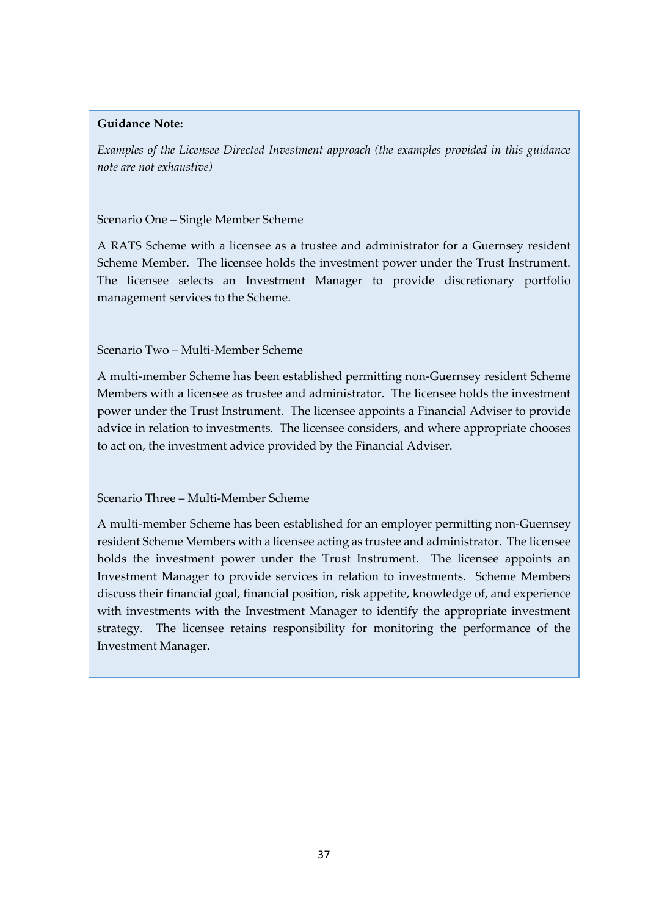*Examples of the Licensee Directed Investment approach (the examples provided in this guidance note are not exhaustive)*

## Scenario One – Single Member Scheme

A RATS Scheme with a licensee as a trustee and administrator for a Guernsey resident Scheme Member. The licensee holds the investment power under the Trust Instrument. The licensee selects an Investment Manager to provide discretionary portfolio management services to the Scheme.

## Scenario Two – Multi-Member Scheme

A multi-member Scheme has been established permitting non-Guernsey resident Scheme Members with a licensee as trustee and administrator. The licensee holds the investment power under the Trust Instrument. The licensee appoints a Financial Adviser to provide advice in relation to investments. The licensee considers, and where appropriate chooses to act on, the investment advice provided by the Financial Adviser.

## Scenario Three – Multi-Member Scheme

A multi-member Scheme has been established for an employer permitting non-Guernsey resident Scheme Members with a licensee acting as trustee and administrator. The licensee holds the investment power under the Trust Instrument. The licensee appoints an Investment Manager to provide services in relation to investments. Scheme Members discuss their financial goal, financial position, risk appetite, knowledge of, and experience with investments with the Investment Manager to identify the appropriate investment strategy. The licensee retains responsibility for monitoring the performance of the Investment Manager.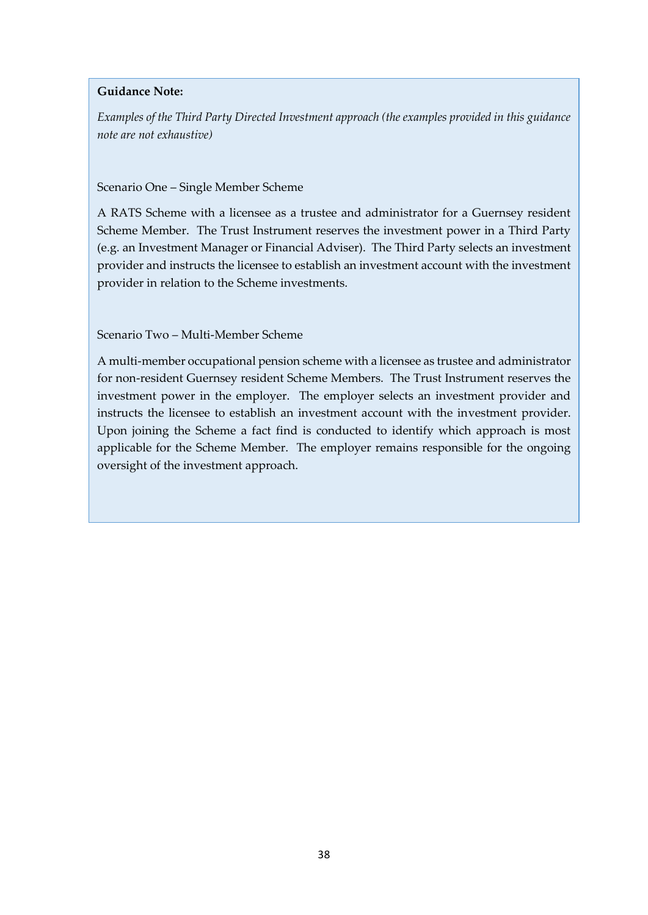*Examples of the Third Party Directed Investment approach (the examples provided in this guidance note are not exhaustive)*

## Scenario One – Single Member Scheme

A RATS Scheme with a licensee as a trustee and administrator for a Guernsey resident Scheme Member. The Trust Instrument reserves the investment power in a Third Party (e.g. an Investment Manager or Financial Adviser). The Third Party selects an investment provider and instructs the licensee to establish an investment account with the investment provider in relation to the Scheme investments.

Scenario Two – Multi-Member Scheme

A multi-member occupational pension scheme with a licensee as trustee and administrator for non-resident Guernsey resident Scheme Members. The Trust Instrument reserves the investment power in the employer. The employer selects an investment provider and instructs the licensee to establish an investment account with the investment provider. Upon joining the Scheme a fact find is conducted to identify which approach is most applicable for the Scheme Member. The employer remains responsible for the ongoing oversight of the investment approach.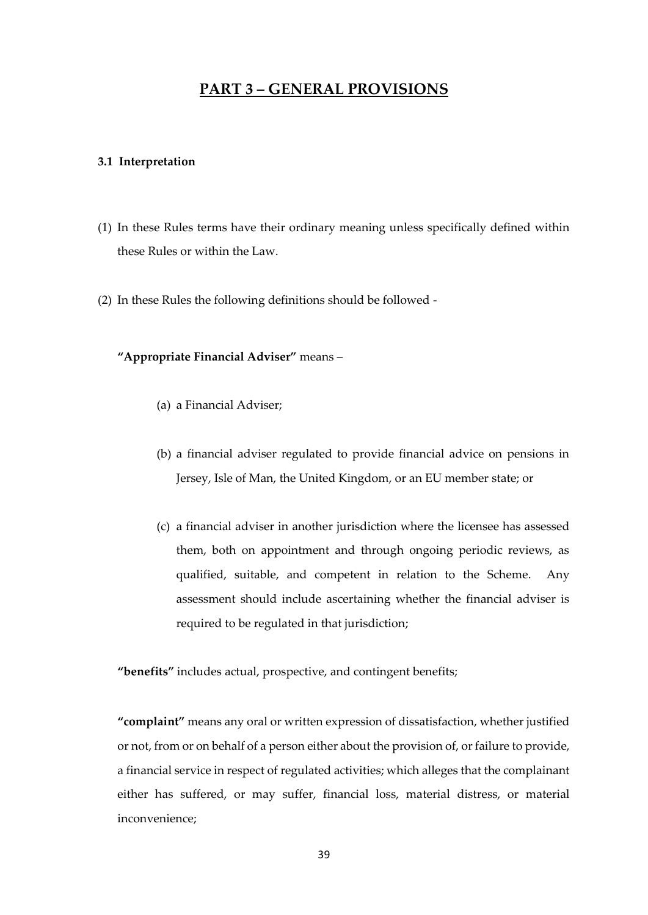## **PART 3 – GENERAL PROVISIONS**

#### <span id="page-38-1"></span><span id="page-38-0"></span>**3.1 Interpretation**

- (1) In these Rules terms have their ordinary meaning unless specifically defined within these Rules or within the Law.
- (2) In these Rules the following definitions should be followed -

## **"Appropriate Financial Adviser"** means –

- (a) a Financial Adviser;
- (b) a financial adviser regulated to provide financial advice on pensions in Jersey, Isle of Man, the United Kingdom, or an EU member state; or
- (c) a financial adviser in another jurisdiction where the licensee has assessed them, both on appointment and through ongoing periodic reviews, as qualified, suitable, and competent in relation to the Scheme. Any assessment should include ascertaining whether the financial adviser is required to be regulated in that jurisdiction;

**"benefits"** includes actual, prospective, and contingent benefits;

**"complaint"** means any oral or written expression of dissatisfaction, whether justified or not, from or on behalf of a person either about the provision of, or failure to provide, a financial service in respect of regulated activities; which alleges that the complainant either has suffered, or may suffer, financial loss, material distress, or material inconvenience;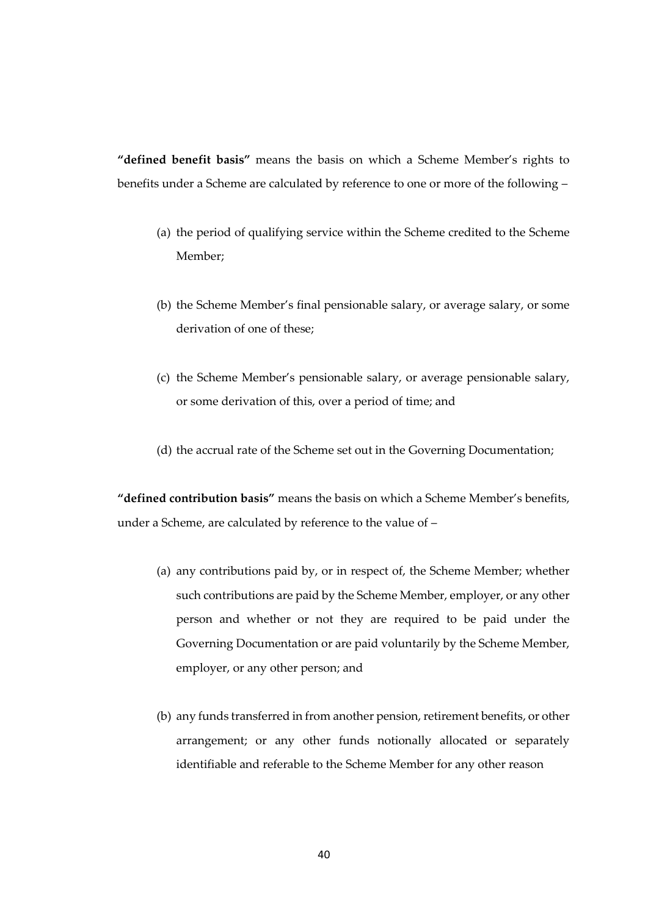**"defined benefit basis"** means the basis on which a Scheme Member's rights to benefits under a Scheme are calculated by reference to one or more of the following –

- (a) the period of qualifying service within the Scheme credited to the Scheme Member;
- (b) the Scheme Member's final pensionable salary, or average salary, or some derivation of one of these;
- (c) the Scheme Member's pensionable salary, or average pensionable salary, or some derivation of this, over a period of time; and
- (d) the accrual rate of the Scheme set out in the Governing Documentation;

**"defined contribution basis"** means the basis on which a Scheme Member's benefits, under a Scheme, are calculated by reference to the value of –

- (a) any contributions paid by, or in respect of, the Scheme Member; whether such contributions are paid by the Scheme Member, employer, or any other person and whether or not they are required to be paid under the Governing Documentation or are paid voluntarily by the Scheme Member, employer, or any other person; and
- (b) any funds transferred in from another pension, retirement benefits, or other arrangement; or any other funds notionally allocated or separately identifiable and referable to the Scheme Member for any other reason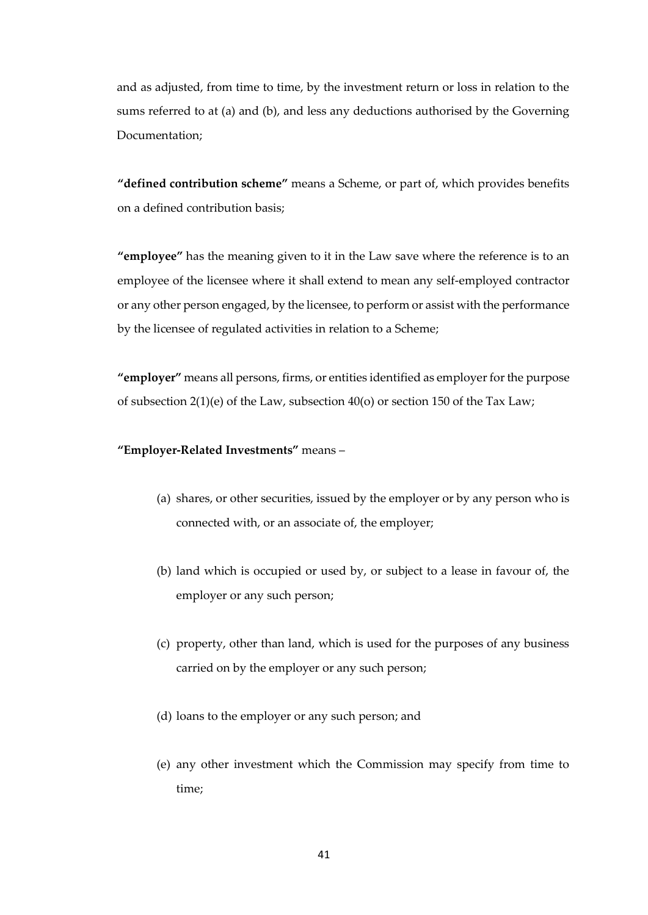and as adjusted, from time to time, by the investment return or loss in relation to the sums referred to at (a) and (b), and less any deductions authorised by the Governing Documentation;

**"defined contribution scheme"** means a Scheme, or part of, which provides benefits on a defined contribution basis;

**"employee"** has the meaning given to it in the Law save where the reference is to an employee of the licensee where it shall extend to mean any self-employed contractor or any other person engaged, by the licensee, to perform or assist with the performance by the licensee of regulated activities in relation to a Scheme;

**"employer"** means all persons, firms, or entities identified as employer for the purpose of subsection 2(1)(e) of the Law, subsection 40(o) or section 150 of the Tax Law;

## **"Employer-Related Investments"** means –

- (a) shares, or other securities, issued by the employer or by any person who is connected with, or an associate of, the employer;
- (b) land which is occupied or used by, or subject to a lease in favour of, the employer or any such person;
- (c) property, other than land, which is used for the purposes of any business carried on by the employer or any such person;
- (d) loans to the employer or any such person; and
- (e) any other investment which the Commission may specify from time to time;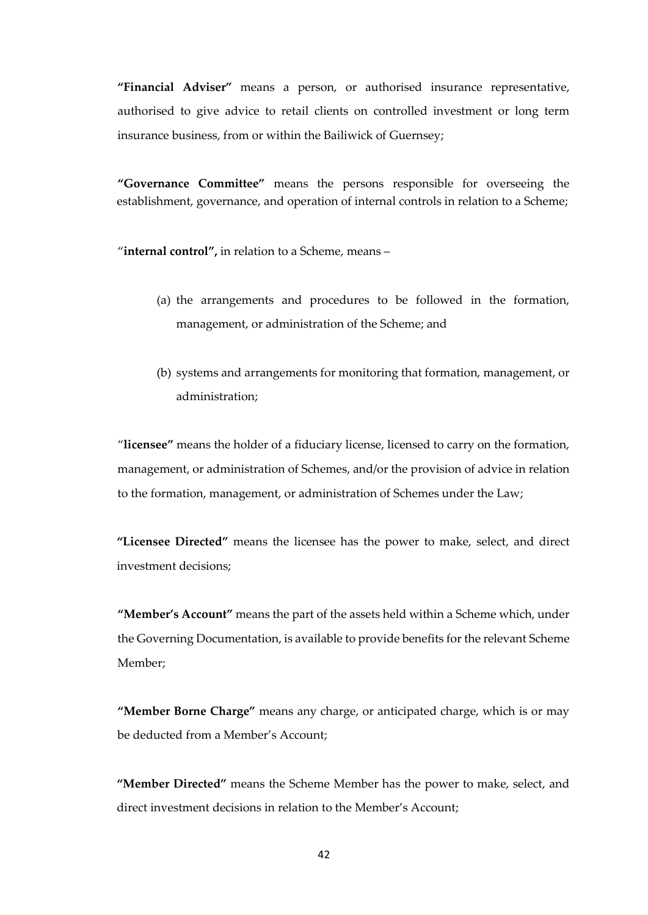**"Financial Adviser"** means a person, or authorised insurance representative, authorised to give advice to retail clients on controlled investment or long term insurance business, from or within the Bailiwick of Guernsey;

**"Governance Committee"** means the persons responsible for overseeing the establishment, governance, and operation of internal controls in relation to a Scheme;

"**internal control",** in relation to a Scheme, means –

- (a) the arrangements and procedures to be followed in the formation, management, or administration of the Scheme; and
- (b) systems and arrangements for monitoring that formation, management, or administration;

"**licensee"** means the holder of a fiduciary license, licensed to carry on the formation, management, or administration of Schemes, and/or the provision of advice in relation to the formation, management, or administration of Schemes under the Law;

**"Licensee Directed"** means the licensee has the power to make, select, and direct investment decisions;

**"Member's Account"** means the part of the assets held within a Scheme which, under the Governing Documentation, is available to provide benefits for the relevant Scheme Member;

**"Member Borne Charge"** means any charge, or anticipated charge, which is or may be deducted from a Member's Account;

**"Member Directed"** means the Scheme Member has the power to make, select, and direct investment decisions in relation to the Member's Account;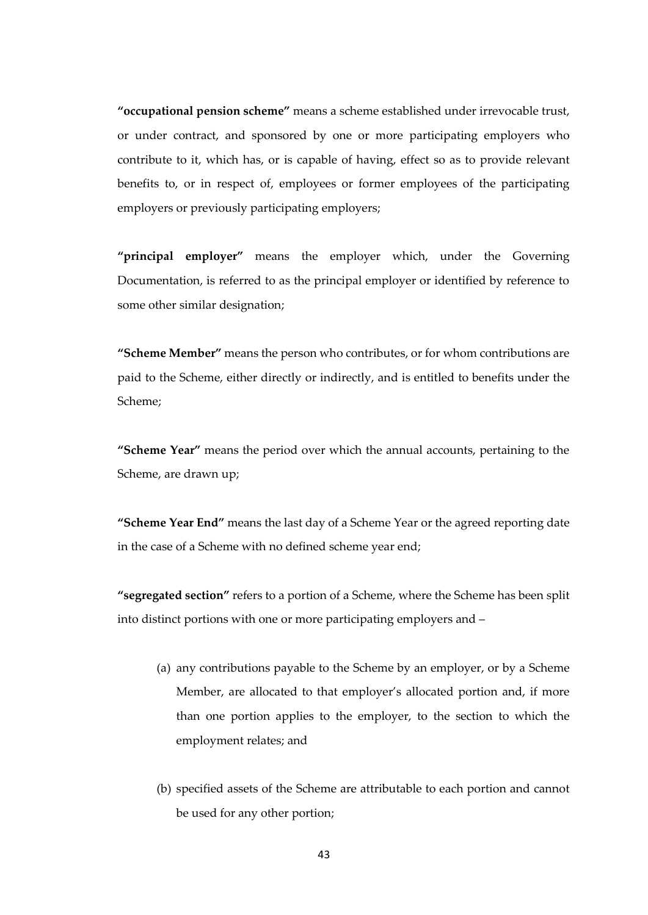**"occupational pension scheme"** means a scheme established under irrevocable trust, or under contract, and sponsored by one or more participating employers who contribute to it, which has, or is capable of having, effect so as to provide relevant benefits to, or in respect of, employees or former employees of the participating employers or previously participating employers;

**"principal employer"** means the employer which, under the Governing Documentation, is referred to as the principal employer or identified by reference to some other similar designation;

**"Scheme Member"** means the person who contributes, or for whom contributions are paid to the Scheme, either directly or indirectly, and is entitled to benefits under the Scheme;

**"Scheme Year"** means the period over which the annual accounts, pertaining to the Scheme, are drawn up;

**"Scheme Year End"** means the last day of a Scheme Year or the agreed reporting date in the case of a Scheme with no defined scheme year end;

**"segregated section"** refers to a portion of a Scheme, where the Scheme has been split into distinct portions with one or more participating employers and –

- (a) any contributions payable to the Scheme by an employer, or by a Scheme Member, are allocated to that employer's allocated portion and, if more than one portion applies to the employer, to the section to which the employment relates; and
- (b) specified assets of the Scheme are attributable to each portion and cannot be used for any other portion;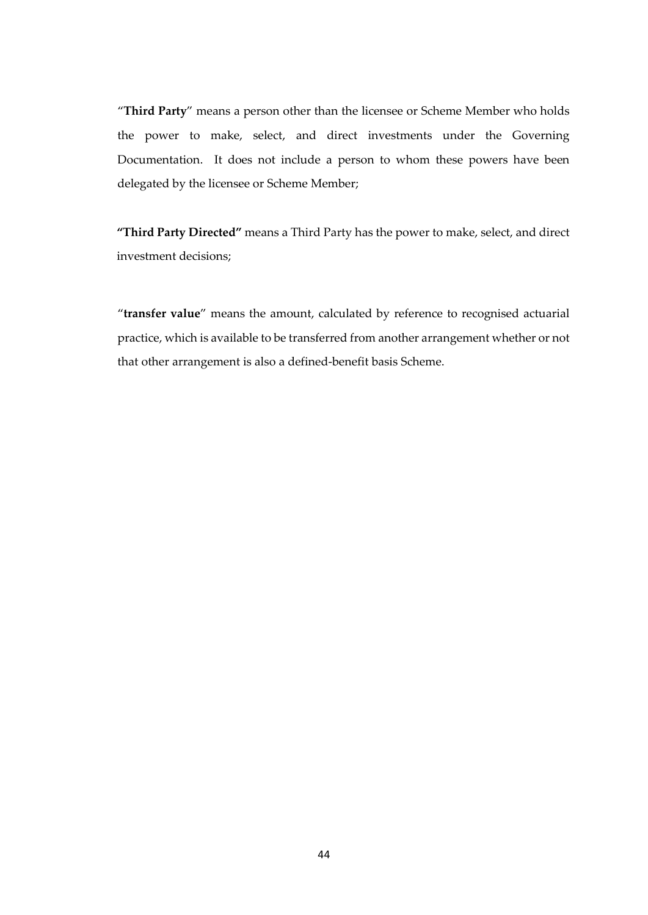"**Third Party**" means a person other than the licensee or Scheme Member who holds the power to make, select, and direct investments under the Governing Documentation. It does not include a person to whom these powers have been delegated by the licensee or Scheme Member;

**"Third Party Directed"** means a Third Party has the power to make, select, and direct investment decisions;

"**transfer value**" means the amount, calculated by reference to recognised actuarial practice, which is available to be transferred from another arrangement whether or not that other arrangement is also a defined-benefit basis Scheme.